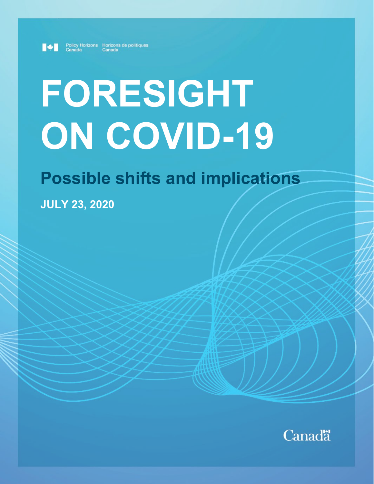

Policy Horizons Horizons de politiques<br>Canada Canada

# **FORESIGHT ON COVID-19**

## **Possible shifts and implications**

**JULY 23, 2020**

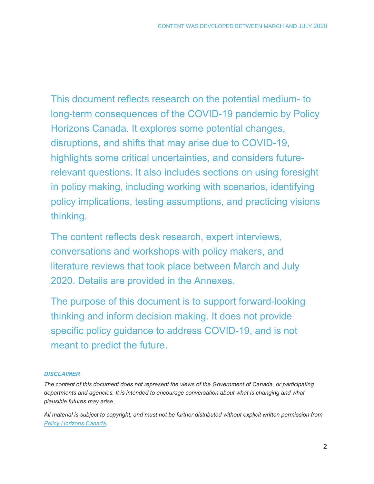This document reflects research on the potential medium- to long-term consequences of the COVID-19 pandemic by Policy Horizons Canada. It explores some potential changes, disruptions, and shifts that may arise due to COVID-19, highlights some critical uncertainties, and considers futurerelevant questions. It also includes sections on using foresight in policy making, including working with scenarios, identifying policy implications, testing assumptions, and practicing visions thinking.

The content reflects desk research, expert interviews, conversations and workshops with policy makers, and literature reviews that took place between March and July 2020. Details are provided in the Annexes.

The purpose of this document is to support forward-looking thinking and inform decision making. It does not provide specific policy guidance to address COVID-19, and is not meant to predict the future.

#### *DISCLAIMER*

*The content of this document does not represent the views of the Government of Canada, or participating departments and agencies. It is intended to encourage conversation about what is changing and what plausible futures may arise.* 

*All material is subject to copyright, and must not be further distributed without explicit written permission from [Policy Horizons](mailto:questions@horizons.gc.ca) Canada.*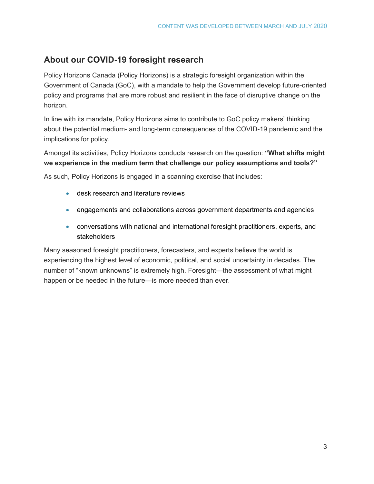#### **About our COVID-19 foresight research**

Policy Horizons Canada (Policy Horizons) is a strategic foresight organization within the Government of Canada (GoC), with a mandate to help the Government develop future-oriented policy and programs that are more robust and resilient in the face of disruptive change on the horizon.

In line with its mandate, Policy Horizons aims to contribute to GoC policy makers' thinking about the potential medium- and long-term consequences of the COVID-19 pandemic and the implications for policy.

Amongst its activities, Policy Horizons conducts research on the question: **"What shifts might we experience in the medium term that challenge our policy assumptions and tools?"**

As such, Policy Horizons is engaged in a scanning exercise that includes:

- desk research and literature reviews
- engagements and collaborations across government departments and agencies
- conversations with national and international foresight practitioners, experts, and stakeholders

Many seasoned foresight practitioners, forecasters, and experts believe the world is experiencing the highest level of economic, political, and social uncertainty in decades. The number of "known unknowns" is extremely high. Foresight—the assessment of what might happen or be needed in the future—is more needed than ever.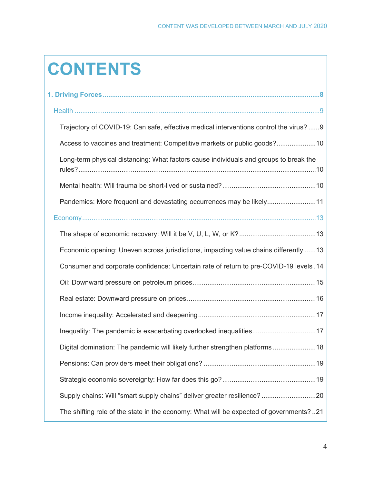## **CONTENTS**

| Trajectory of COVID-19: Can safe, effective medical interventions control the virus? 9 |
|----------------------------------------------------------------------------------------|
| Access to vaccines and treatment: Competitive markets or public goods?10               |
| Long-term physical distancing: What factors cause individuals and groups to break the  |
|                                                                                        |
| Pandemics: More frequent and devastating occurrences may be likely11                   |
|                                                                                        |
|                                                                                        |
| Economic opening: Uneven across jurisdictions, impacting value chains differently 13   |
| Consumer and corporate confidence: Uncertain rate of return to pre-COVID-19 levels .14 |
|                                                                                        |
|                                                                                        |
|                                                                                        |
| Inequality: The pandemic is exacerbating overlooked inequalities17                     |
| Digital domination: The pandemic will likely further strengthen platforms18            |
|                                                                                        |
|                                                                                        |
| Supply chains: Will "smart supply chains" deliver greater resilience?20                |
| The shifting role of the state in the economy: What will be expected of governments?21 |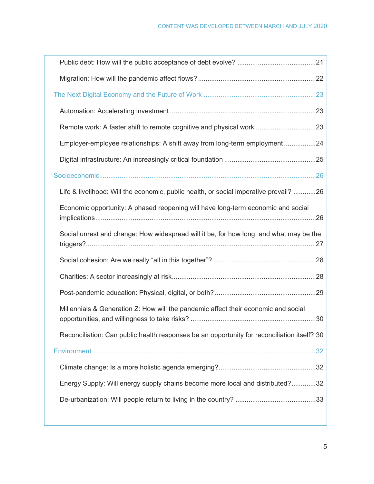| .23                                                                                         |
|---------------------------------------------------------------------------------------------|
|                                                                                             |
| Remote work: A faster shift to remote cognitive and physical work 23                        |
| Employer-employee relationships: A shift away from long-term employment<br>.24              |
|                                                                                             |
| .26                                                                                         |
| Life & livelihood: Will the economic, public health, or social imperative prevail? 26       |
| Economic opportunity: A phased reopening will have long-term economic and social            |
| Social unrest and change: How widespread will it be, for how long, and what may be the      |
|                                                                                             |
|                                                                                             |
|                                                                                             |
| Millennials & Generation Z: How will the pandemic affect their economic and social          |
| Reconciliation: Can public health responses be an opportunity for reconciliation itself? 30 |
| .32 <sub>0</sub>                                                                            |
|                                                                                             |
| Energy Supply: Will energy supply chains become more local and distributed?32               |
|                                                                                             |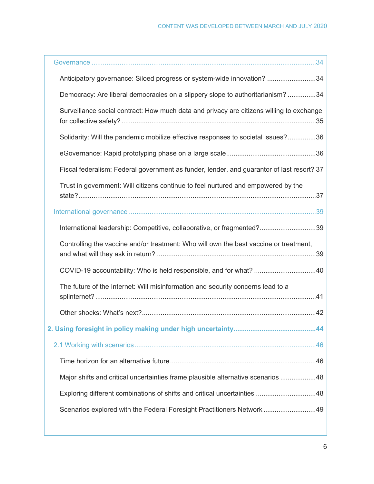| Anticipatory governance: Siloed progress or system-wide innovation? 34                    |
|-------------------------------------------------------------------------------------------|
| Democracy: Are liberal democracies on a slippery slope to authoritarianism?34             |
| Surveillance social contract: How much data and privacy are citizens willing to exchange  |
| Solidarity: Will the pandemic mobilize effective responses to societal issues?36          |
|                                                                                           |
| Fiscal federalism: Federal government as funder, lender, and guarantor of last resort? 37 |
| Trust in government: Will citizens continue to feel nurtured and empowered by the         |
|                                                                                           |
| International leadership: Competitive, collaborative, or fragmented?39                    |
| Controlling the vaccine and/or treatment: Who will own the best vaccine or treatment,     |
| COVID-19 accountability: Who is held responsible, and for what? 40                        |
| The future of the Internet: Will misinformation and security concerns lead to a           |
|                                                                                           |
|                                                                                           |
| 2. Using foresight in policy making under high uncertainty<br>.44                         |
|                                                                                           |
|                                                                                           |
| Major shifts and critical uncertainties frame plausible alternative scenarios 48          |
| Exploring different combinations of shifts and critical uncertainties 48                  |
| Scenarios explored with the Federal Foresight Practitioners Network49                     |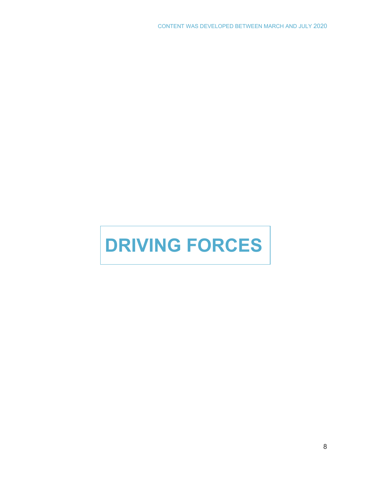## <span id="page-7-0"></span>**DRIVING FORCES**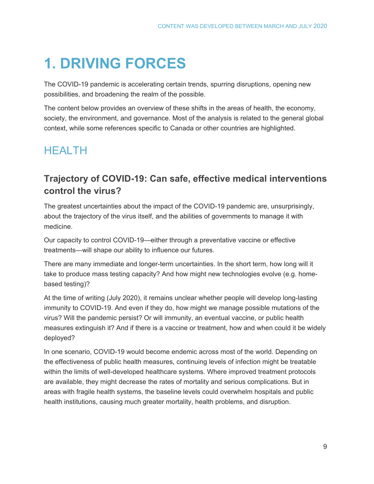## **1. DRIVING FORCES**

The COVID-19 pandemic is accelerating certain trends, spurring disruptions, opening new possibilities, and broadening the realm of the possible.

The content below provides an overview of these shifts in the areas of health, the economy, society, the environment, and governance. Most of the analysis is related to the general global context, while some references specific to Canada or other countries are highlighted.

## <span id="page-8-0"></span>HEALTH

## <span id="page-8-1"></span>**Trajectory of COVID-19: Can safe, effective medical interventions control the virus?**

The greatest uncertainties about the impact of the COVID-19 pandemic are, unsurprisingly, about the trajectory of the virus itself, and the abilities of governments to manage it with medicine.

Our capacity to control COVID-19—either through a preventative vaccine or effective treatments—will shape our ability to influence our futures.

There are many immediate and longer-term uncertainties. In the short term, how long will it take to produce mass testing capacity? And how might new technologies evolve (e.g. homebased testing)?

At the time of writing (July 2020), it remains unclear whether people will develop long-lasting immunity to COVID-19. And even if they do, how might we manage possible mutations of the virus? Will the pandemic persist? Or will immunity, an eventual vaccine, or public health measures extinguish it? And if there is a vaccine or treatment, how and when could it be widely deployed?

In one scenario, COVID-19 would become endemic across most of the world. Depending on the effectiveness of public health measures, continuing levels of infection might be treatable within the limits of well-developed healthcare systems. Where improved treatment protocols are available, they might decrease the rates of mortality and serious complications. But in areas with fragile health systems, the baseline levels could overwhelm hospitals and public health institutions, causing much greater mortality, health problems, and disruption.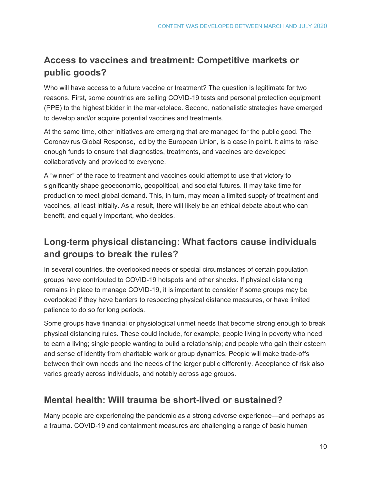## <span id="page-9-0"></span>**Access to vaccines and treatment: Competitive markets or public goods?**

Who will have access to a future vaccine or treatment? The question is legitimate for two reasons. First, some countries are selling COVID-19 tests and personal protection equipment (PPE) to the highest bidder in the marketplace. Second, nationalistic strategies have emerged to develop and/or acquire potential vaccines and treatments.

At the same time, other initiatives are emerging that are managed for the public good. The Coronavirus Global Response, led by the European Union, is a case in point. It aims to raise enough funds to ensure that diagnostics, treatments, and vaccines are developed collaboratively and provided to everyone.

A "winner" of the race to treatment and vaccines could attempt to use that victory to significantly shape geoeconomic, geopolitical, and societal futures. It may take time for production to meet global demand. This, in turn, may mean a limited supply of treatment and vaccines, at least initially. As a result, there will likely be an ethical debate about who can benefit, and equally important, who decides.

## <span id="page-9-1"></span>**Long-term physical distancing: What factors cause individuals and groups to break the rules?**

In several countries, the overlooked needs or special circumstances of certain population groups have contributed to COVID-19 hotspots and other shocks. If physical distancing remains in place to manage COVID-19, it is important to consider if some groups may be overlooked if they have barriers to respecting physical distance measures, or have limited patience to do so for long periods.

Some groups have financial or physiological unmet needs that become strong enough to break physical distancing rules. These could include, for example, people living in poverty who need to earn a living; single people wanting to build a relationship; and people who gain their esteem and sense of identity from charitable work or group dynamics. People will make trade-offs between their own needs and the needs of the larger public differently. Acceptance of risk also varies greatly across individuals, and notably across age groups.

## <span id="page-9-2"></span>**Mental health: Will trauma be short-lived or sustained?**

Many people are experiencing the pandemic as a strong adverse experience—and perhaps as a trauma. COVID-19 and containment measures are challenging a range of basic human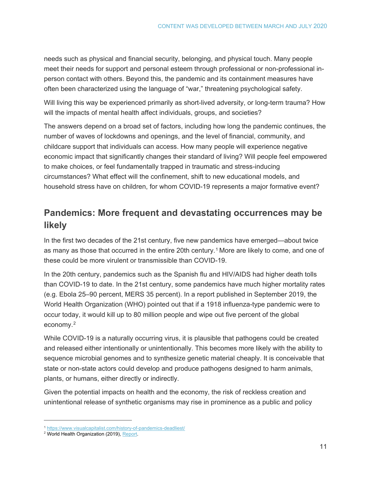needs such as physical and financial security, belonging, and physical touch. Many people meet their needs for support and personal esteem through professional or non-professional inperson contact with others. Beyond this, the pandemic and its containment measures have often been characterized using the language of "war," threatening psychological safety.

Will living this way be experienced primarily as short-lived adversity, or long-term trauma? How will the impacts of mental health affect individuals, groups, and societies?

The answers depend on a broad set of factors, including how long the pandemic continues, the number of waves of lockdowns and openings, and the level of financial, community, and childcare support that individuals can access. How many people will experience negative economic impact that significantly changes their standard of living? Will people feel empowered to make choices, or feel fundamentally trapped in traumatic and stress-inducing circumstances? What effect will the confinement, shift to new educational models, and household stress have on children, for whom COVID-19 represents a major formative event?

## <span id="page-10-0"></span>**Pandemics: More frequent and devastating occurrences may be likely**

In the first two decades of the 21st century, five new pandemics have emerged—about twice as many as those that occurred in the entire 20th century.<sup>[1](#page-10-1)</sup> More are likely to come, and one of these could be more virulent or transmissible than COVID-19.

In the 20th century, pandemics such as the Spanish flu and HIV/AIDS had higher death tolls than COVID-19 to date. In the 21st century, some pandemics have much higher mortality rates (e.g. Ebola 25–90 percent, MERS 35 percent). In a report published in September 2019, the World Health Organization (WHO) pointed out that if a 1918 influenza-type pandemic were to occur today, it would kill up to 80 million people and wipe out five percent of the global economy.[2](#page-10-2)

While COVID-19 is a naturally occurring virus, it is plausible that pathogens could be created and released either intentionally or unintentionally. This becomes more likely with the ability to sequence microbial genomes and to synthesize genetic material cheaply. It is conceivable that state or non-state actors could develop and produce pathogens designed to harm animals, plants, or humans, either directly or indirectly.

Given the potential impacts on health and the economy, the risk of reckless creation and unintentional release of synthetic organisms may rise in prominence as a public and policy

 <sup>1</sup> <https://www.visualcapitalist.com/history-of-pandemics-deadliest/>

<span id="page-10-2"></span><span id="page-10-1"></span><sup>&</sup>lt;sup>2</sup> World Health Organization (2019)[, Report.](https://apps.who.int/gpmb/assets/annual_report/GPMB_annualreport_2019.pdf)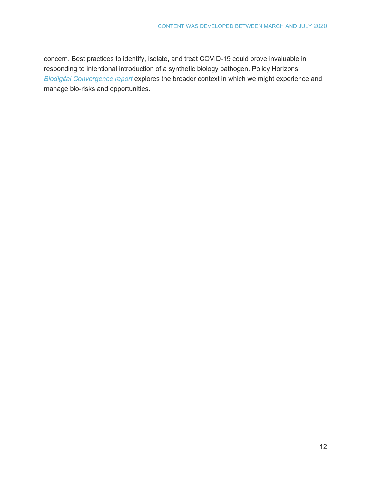concern. Best practices to identify, isolate, and treat COVID-19 could prove invaluable in responding to intentional introduction of a synthetic biology pathogen. Policy Horizons' *[Biodigital Convergence report](https://horizons.gc.ca/en/2020/02/11/exploring-biodigital-convergence/)* explores the broader context in which we might experience and manage bio-risks and opportunities.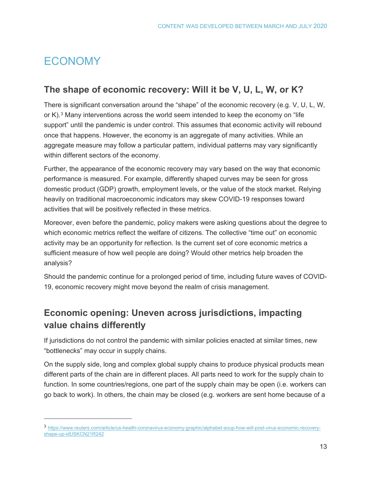## <span id="page-12-0"></span>ECONOMY

 $\overline{a}$ 

## <span id="page-12-1"></span>**The shape of economic recovery: Will it be V, U, L, W, or K?**

There is significant conversation around the "shape" of the economic recovery (e.g. V, U, L, W, or K).[3](#page-12-3) Many interventions across the world seem intended to keep the economy on "life support" until the pandemic is under control. This assumes that economic activity will rebound once that happens. However, the economy is an aggregate of many activities. While an aggregate measure may follow a particular pattern, individual patterns may vary significantly within different sectors of the economy.

Further, the appearance of the economic recovery may vary based on the way that economic performance is measured. For example, differently shaped curves may be seen for gross domestic product (GDP) growth, employment levels, or the value of the stock market. Relying heavily on traditional macroeconomic indicators may skew COVID-19 responses toward activities that will be positively reflected in these metrics.

Moreover, even before the pandemic, policy makers were asking questions about the degree to which economic metrics reflect the welfare of citizens. The collective "time out" on economic activity may be an opportunity for reflection. Is the current set of core economic metrics a sufficient measure of how well people are doing? Would other metrics help broaden the analysis?

Should the pandemic continue for a prolonged period of time, including future waves of COVID-19, economic recovery might move beyond the realm of crisis management.

## <span id="page-12-2"></span>**Economic opening: Uneven across jurisdictions, impacting value chains differently**

If jurisdictions do not control the pandemic with similar policies enacted at similar times, new "bottlenecks" may occur in supply chains.

On the supply side, long and complex global supply chains to produce physical products mean different parts of the chain are in different places. All parts need to work for the supply chain to function. In some countries/regions, one part of the supply chain may be open (i.e. workers can go back to work). In others, the chain may be closed (e.g. workers are sent home because of a

<span id="page-12-3"></span><sup>3</sup> [https://www.reuters.com/article/us-health-coronavirus-economy-graphic/alphabet-soup-how-will-post-virus-economic-recovery](https://www.reuters.com/article/us-health-coronavirus-economy-graphic/alphabet-soup-how-will-post-virus-economic-recovery-shape-up-idUSKCN21R242)[shape-up-idUSKCN21R242](https://www.reuters.com/article/us-health-coronavirus-economy-graphic/alphabet-soup-how-will-post-virus-economic-recovery-shape-up-idUSKCN21R242)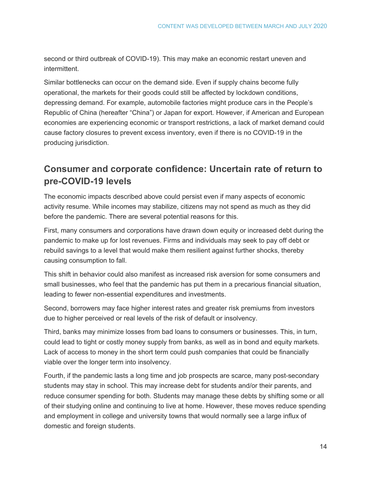second or third outbreak of COVID-19). This may make an economic restart uneven and intermittent.

Similar bottlenecks can occur on the demand side. Even if supply chains become fully operational, the markets for their goods could still be affected by lockdown conditions, depressing demand. For example, automobile factories might produce cars in the People's Republic of China (hereafter "China") or Japan for export. However, if American and European economies are experiencing economic or transport restrictions, a lack of market demand could cause factory closures to prevent excess inventory, even if there is no COVID-19 in the producing jurisdiction.

## <span id="page-13-0"></span>**Consumer and corporate confidence: Uncertain rate of return to pre-COVID-19 levels**

The economic impacts described above could persist even if many aspects of economic activity resume. While incomes may stabilize, citizens may not spend as much as they did before the pandemic. There are several potential reasons for this.

First, many consumers and corporations have drawn down equity or increased debt during the pandemic to make up for lost revenues. Firms and individuals may seek to pay off debt or rebuild savings to a level that would make them resilient against further shocks, thereby causing consumption to fall.

This shift in behavior could also manifest as increased risk aversion for some consumers and small businesses, who feel that the pandemic has put them in a precarious financial situation, leading to fewer non-essential expenditures and investments.

Second, borrowers may face higher interest rates and greater risk premiums from investors due to higher perceived or real levels of the risk of default or insolvency.

Third, banks may minimize losses from bad loans to consumers or businesses. This, in turn, could lead to tight or costly money supply from banks, as well as in bond and equity markets. Lack of access to money in the short term could push companies that could be financially viable over the longer term into insolvency.

Fourth, if the pandemic lasts a long time and job prospects are scarce, many post-secondary students may stay in school. This may increase debt for students and/or their parents, and reduce consumer spending for both. Students may manage these debts by shifting some or all of their studying online and continuing to live at home. However, these moves reduce spending and employment in college and university towns that would normally see a large influx of domestic and foreign students.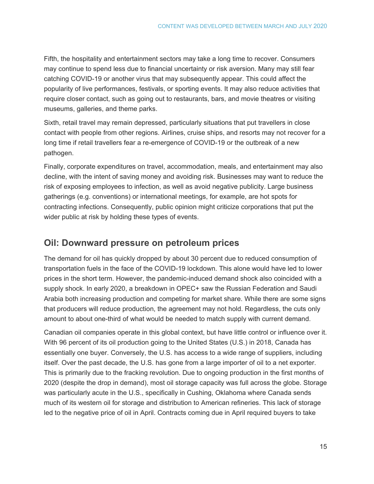Fifth, the hospitality and entertainment sectors may take a long time to recover. Consumers may continue to spend less due to financial uncertainty or risk aversion. Many may still fear catching COVID-19 or another virus that may subsequently appear. This could affect the popularity of live performances, festivals, or sporting events. It may also reduce activities that require closer contact, such as going out to restaurants, bars, and movie theatres or visiting museums, galleries, and theme parks.

Sixth, retail travel may remain depressed, particularly situations that put travellers in close contact with people from other regions. Airlines, cruise ships, and resorts may not recover for a long time if retail travellers fear a re-emergence of COVID-19 or the outbreak of a new pathogen.

Finally, corporate expenditures on travel, accommodation, meals, and entertainment may also decline, with the intent of saving money and avoiding risk. Businesses may want to reduce the risk of exposing employees to infection, as well as avoid negative publicity. Large business gatherings (e.g. conventions) or international meetings, for example, are hot spots for contracting infections. Consequently, public opinion might criticize corporations that put the wider public at risk by holding these types of events.

#### <span id="page-14-0"></span>**Oil: Downward pressure on petroleum prices**

The demand for oil has quickly dropped by about 30 percent due to reduced consumption of transportation fuels in the face of the COVID-19 lockdown. This alone would have led to lower prices in the short term. However, the pandemic-induced demand shock also coincided with a supply shock. In early 2020, a breakdown in OPEC+ saw the Russian Federation and Saudi Arabia both increasing production and competing for market share. While there are some signs that producers will reduce production, the agreement may not hold. Regardless, the cuts only amount to about one-third of what would be needed to match supply with current demand.

Canadian oil companies operate in this global context, but have little control or influence over it. With 96 percent of its oil production going to the United States (U.S.) in 2018, Canada has essentially one buyer. Conversely, the U.S. has access to a wide range of suppliers, including itself. Over the past decade, the U.S. has gone from a large importer of oil to a net exporter. This is primarily due to the fracking revolution. Due to ongoing production in the first months of 2020 (despite the drop in demand), most oil storage capacity was full across the globe. Storage was particularly acute in the U.S., specifically in Cushing, Oklahoma where Canada sends much of its western oil for storage and distribution to American refineries. This lack of storage led to the negative price of oil in April. Contracts coming due in April required buyers to take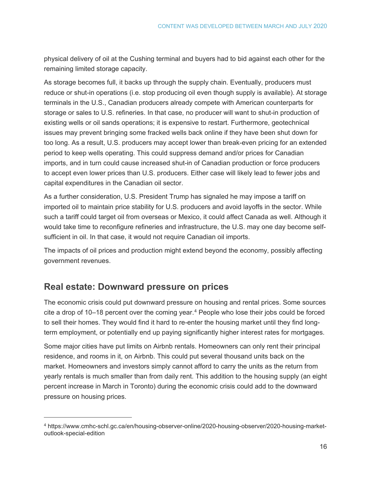physical delivery of oil at the Cushing terminal and buyers had to bid against each other for the remaining limited storage capacity.

As storage becomes full, it backs up through the supply chain. Eventually, producers must reduce or shut-in operations (i.e. stop producing oil even though supply is available). At storage terminals in the U.S., Canadian producers already compete with American counterparts for storage or sales to U.S. refineries. In that case, no producer will want to shut-in production of existing wells or oil sands operations; it is expensive to restart. Furthermore, geotechnical issues may prevent bringing some fracked wells back online if they have been shut down for too long. As a result, U.S. producers may accept lower than break-even pricing for an extended period to keep wells operating. This could suppress demand and/or prices for Canadian imports, and in turn could cause increased shut-in of Canadian production or force producers to accept even lower prices than U.S. producers. Either case will likely lead to fewer jobs and capital expenditures in the Canadian oil sector.

As a further consideration, U.S. President Trump has signaled he may impose a tariff on imported oil to maintain price stability for U.S. producers and avoid layoffs in the sector. While such a tariff could target oil from overseas or Mexico, it could affect Canada as well. Although it would take time to reconfigure refineries and infrastructure, the U.S. may one day become selfsufficient in oil. In that case, it would not require Canadian oil imports.

The impacts of oil prices and production might extend beyond the economy, possibly affecting government revenues.

#### <span id="page-15-0"></span>**Real estate: Downward pressure on prices**

 $\overline{a}$ 

The economic crisis could put downward pressure on housing and rental prices. Some sources cite a drop of 10–18 percent over the coming year.<sup>[4](#page-15-1)</sup> People who lose their jobs could be forced to sell their homes. They would find it hard to re-enter the housing market until they find longterm employment, or potentially end up paying significantly higher interest rates for mortgages.

Some major cities have put limits on Airbnb rentals. Homeowners can only rent their principal residence, and rooms in it, on Airbnb. This could put several thousand units back on the market. Homeowners and investors simply cannot afford to carry the units as the return from yearly rentals is much smaller than from daily rent. This addition to the housing supply (an eight percent increase in March in Toronto) during the economic crisis could add to the downward pressure on housing prices.

<span id="page-15-1"></span><sup>4</sup> https://www.cmhc-schl.gc.ca/en/housing-observer-online/2020-housing-observer/2020-housing-marketoutlook-special-edition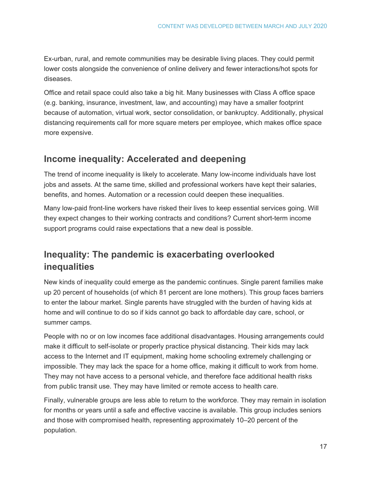Ex-urban, rural, and remote communities may be desirable living places. They could permit lower costs alongside the convenience of online delivery and fewer interactions/hot spots for diseases.

Office and retail space could also take a big hit. Many businesses with Class A office space (e.g. banking, insurance, investment, law, and accounting) may have a smaller footprint because of automation, virtual work, sector consolidation, or bankruptcy. Additionally, physical distancing requirements call for more square meters per employee, which makes office space more expensive.

## <span id="page-16-0"></span>**Income inequality: Accelerated and deepening**

The trend of income inequality is likely to accelerate. Many low-income individuals have lost jobs and assets. At the same time, skilled and professional workers have kept their salaries, benefits, and homes. Automation or a recession could deepen these inequalities.

Many low-paid front-line workers have risked their lives to keep essential services going. Will they expect changes to their working contracts and conditions? Current short-term income support programs could raise expectations that a new deal is possible.

## <span id="page-16-1"></span>**Inequality: The pandemic is exacerbating overlooked inequalities**

New kinds of inequality could emerge as the pandemic continues. Single parent families make up 20 percent of households (of which 81 percent are lone mothers). This group faces barriers to enter the labour market. Single parents have struggled with the burden of having kids at home and will continue to do so if kids cannot go back to affordable day care, school, or summer camps.

People with no or on low incomes face additional disadvantages. Housing arrangements could make it difficult to self-isolate or properly practice physical distancing. Their kids may lack access to the Internet and IT equipment, making home schooling extremely challenging or impossible. They may lack the space for a home office, making it difficult to work from home. They may not have access to a personal vehicle, and therefore face additional health risks from public transit use. They may have limited or remote access to health care.

Finally, vulnerable groups are less able to return to the workforce. They may remain in isolation for months or years until a safe and effective vaccine is available. This group includes seniors and those with compromised health, representing approximately 10–20 percent of the population.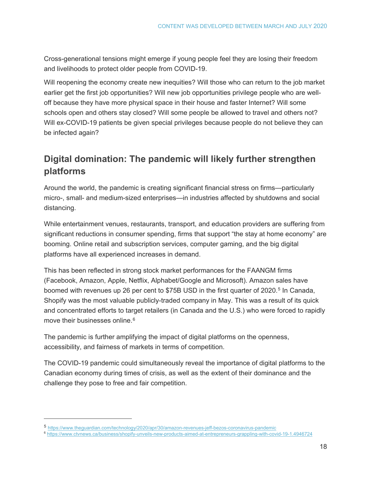Cross-generational tensions might emerge if young people feel they are losing their freedom and livelihoods to protect older people from COVID-19.

Will reopening the economy create new inequities? Will those who can return to the job market earlier get the first job opportunities? Will new job opportunities privilege people who are welloff because they have more physical space in their house and faster Internet? Will some schools open and others stay closed? Will some people be allowed to travel and others not? Will ex-COVID-19 patients be given special privileges because people do not believe they can be infected again?

## <span id="page-17-0"></span>**Digital domination: The pandemic will likely further strengthen platforms**

Around the world, the pandemic is creating significant financial stress on firms—particularly micro-, small- and medium-sized enterprises—in industries affected by shutdowns and social distancing.

While entertainment venues, restaurants, transport, and education providers are suffering from significant reductions in consumer spending, firms that support "the stay at home economy" are booming. Online retail and subscription services, computer gaming, and the big digital platforms have all experienced increases in demand.

This has been reflected in strong stock market performances for the FAANGM firms (Facebook, Amazon, Apple, Netflix, Alphabet/Google and Microsoft). Amazon sales have boomed with revenues up 26 per cent to \$7[5](#page-17-1)B USD in the first quarter of 2020.<sup>5</sup> In Canada, Shopify was the most valuable publicly-traded company in May. This was a result of its quick and concentrated efforts to target retailers (in Canada and the U.S.) who were forced to rapidly move their businesses online.<sup>[6](#page-17-2)</sup>

The pandemic is further amplifying the impact of digital platforms on the openness, accessibility, and fairness of markets in terms of competition.

The COVID-19 pandemic could simultaneously reveal the importance of digital platforms to the Canadian economy during times of crisis, as well as the extent of their dominance and the challenge they pose to free and fair competition.

 $\overline{a}$ 

<span id="page-17-1"></span><sup>5</sup> <https://www.theguardian.com/technology/2020/apr/30/amazon-revenues-jeff-bezos-coronavirus-pandemic>

<span id="page-17-2"></span><sup>6</sup> <https://www.ctvnews.ca/business/shopify-unveils-new-products-aimed-at-entrepreneurs-grappling-with-covid-19-1.4946724>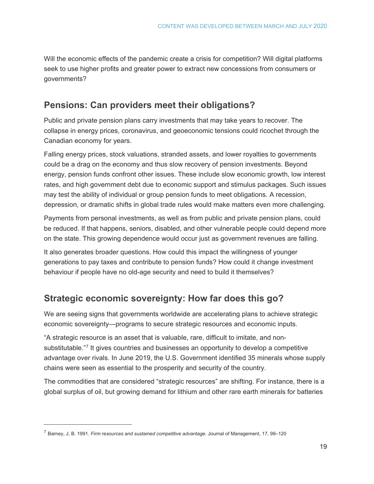Will the economic effects of the pandemic create a crisis for competition? Will digital platforms seek to use higher profits and greater power to extract new concessions from consumers or governments?

## <span id="page-18-0"></span>**Pensions: Can providers meet their obligations?**

Public and private pension plans carry investments that may take years to recover. The collapse in energy prices, coronavirus, and geoeconomic tensions could ricochet through the Canadian economy for years.

Falling energy prices, stock valuations, stranded assets, and lower royalties to governments could be a drag on the economy and thus slow recovery of pension investments. Beyond energy, pension funds confront other issues. These include slow economic growth, low interest rates, and high government debt due to economic support and stimulus packages. Such issues may test the ability of individual or group pension funds to meet obligations. A recession, depression, or dramatic shifts in global trade rules would make matters even more challenging.

Payments from personal investments, as well as from public and private pension plans, could be reduced. If that happens, seniors, disabled, and other vulnerable people could depend more on the state. This growing dependence would occur just as government revenues are falling.

It also generates broader questions. How could this impact the willingness of younger generations to pay taxes and contribute to pension funds? How could it change investment behaviour if people have no old-age security and need to build it themselves?

## <span id="page-18-1"></span>**Strategic economic sovereignty: How far does this go?**

We are seeing signs that governments worldwide are accelerating plans to achieve strategic economic sovereignty—programs to secure strategic resources and economic inputs.

"A [strategic resource](http://www.opentextbooks.org.hk/ditatopic/17135) is an asset that is valuable, rare, difficult to imitate, and nonsubstitutable."[7](#page-18-2) It gives countries and businesses an opportunity to develop a competitive advantage over rivals. In June 2019, the U.S. Government [identified](https://www.commerce.gov/news/reports/2019/06/federal-strategy-ensure-secure-and-reliable-supplies-critical-minerals) 35 minerals whose supply chains were seen as essential to the prosperity and security of the country.

The commodities that are considered "strategic resources" are shifting. For instance, there is a global surplus of oil, but growing demand for lithium and other rare earth minerals for batteries

 $\overline{a}$ 

<span id="page-18-2"></span><sup>7</sup> Barney, J. B. 1991. *Firm resources and sustained competitive advantage*. Journal of Management, 17, 99–120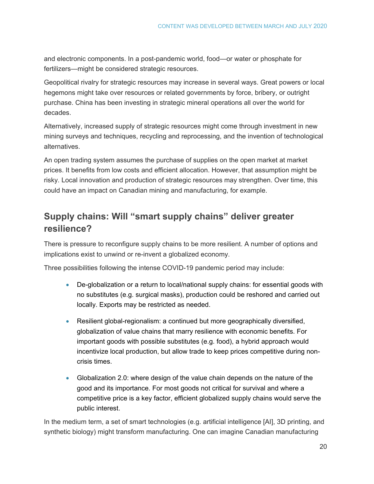and electronic components. In a post-pandemic world, food—or water or phosphate for fertilizers—might be considered strategic resources.

Geopolitical rivalry for strategic resources may increase in several ways. Great powers or local hegemons might take over resources or related governments by force, bribery, or outright purchase. China has been investing in strategic mineral operations all over the world for decades.

Alternatively, increased supply of strategic resources might come through investment in new mining surveys and techniques, recycling and reprocessing, and the invention of technological alternatives.

An open trading system assumes the purchase of supplies on the open market at market prices. It benefits from low costs and efficient allocation. However, that assumption might be risky. Local innovation and production of strategic resources may strengthen. Over time, this could have an impact on Canadian mining and manufacturing, for example.

## <span id="page-19-0"></span>**Supply chains: Will "smart supply chains" deliver greater resilience?**

There is pressure to reconfigure supply chains to be more resilient. A number of options and implications exist to unwind or re-invent a globalized economy.

Three possibilities following the intense COVID-19 pandemic period may include:

- De-globalization or a return to local/national supply chains: for essential goods with no substitutes (e.g. surgical masks), production could be reshored and carried out locally. Exports may be restricted as needed.
- Resilient global-regionalism: a continued but more geographically diversified, globalization of value chains that marry resilience with economic benefits. For important goods with possible substitutes (e.g. food), a hybrid approach would incentivize local production, but allow trade to keep prices competitive during noncrisis times.
- Globalization 2.0: where design of the value chain depends on the nature of the good and its importance. For most goods not critical for survival and where a competitive price is a key factor, efficient globalized supply chains would serve the public interest.

In the medium term, a set of smart technologies (e.g. artificial intelligence [AI], 3D printing, and synthetic biology) might transform manufacturing. One can imagine Canadian manufacturing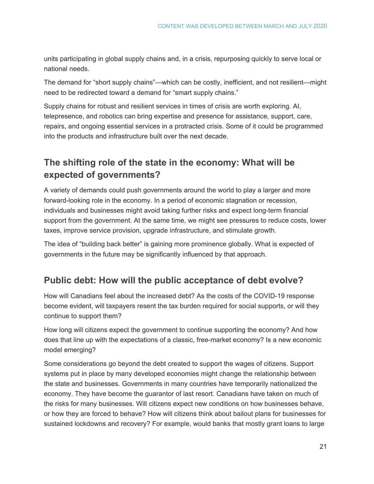units participating in global supply chains and, in a crisis, repurposing quickly to serve local or national needs.

The demand for "short supply chains"—which can be costly, inefficient, and not resilient—might need to be redirected toward a demand for "smart supply chains."

Supply chains for robust and resilient services in times of crisis are worth exploring. AI, telepresence, and robotics can bring expertise and presence for assistance, support, care, repairs, and ongoing essential services in a protracted crisis. Some of it could be programmed into the products and infrastructure built over the next decade.

## <span id="page-20-0"></span>**The shifting role of the state in the economy: What will be expected of governments?**

A variety of demands could push governments around the world to play a larger and more forward-looking role in the economy. In a period of economic stagnation or recession, individuals and businesses might avoid taking further risks and expect long-term financial support from the government. At the same time, we might see pressures to reduce costs, lower taxes, improve service provision, upgrade infrastructure, and stimulate growth.

The idea of "building back better" is gaining more prominence globally. What is expected of governments in the future may be significantly influenced by that approach.

## <span id="page-20-1"></span>**Public debt: How will the public acceptance of debt evolve?**

How will Canadians feel about the increased debt? As the costs of the COVID-19 response become evident, will taxpayers resent the tax burden required for social supports, or will they continue to support them?

How long will citizens expect the government to continue supporting the economy? And how does that line up with the expectations of a classic, free-market economy? Is a new economic model emerging?

Some considerations go beyond the debt created to support the wages of citizens. Support systems put in place by many developed economies might change the relationship between the state and businesses. Governments in many countries have temporarily nationalized the economy. They have become the guarantor of last resort. Canadians have taken on much of the risks for many businesses. Will citizens expect new conditions on how businesses behave, or how they are forced to behave? How will citizens think about bailout plans for businesses for sustained lockdowns and recovery? For example, would banks that mostly grant loans to large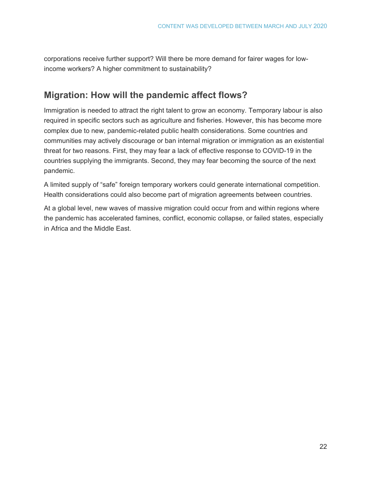corporations receive further support? Will there be more demand for fairer wages for lowincome workers? A higher commitment to sustainability?

## <span id="page-21-0"></span>**Migration: How will the pandemic affect flows?**

Immigration is needed to attract the right talent to grow an economy. Temporary labour is also required in specific sectors such as agriculture and fisheries. However, this has become more complex due to new, pandemic-related public health considerations. Some countries and communities may actively discourage or ban internal migration or immigration as an existential threat for two reasons. First, they may fear a lack of effective response to COVID-19 in the countries supplying the immigrants. Second, they may fear becoming the source of the next pandemic.

A limited supply of "safe" foreign temporary workers could generate international competition. Health considerations could also become part of migration agreements between countries.

At a global level, new waves of massive migration could occur from and within regions where the pandemic has accelerated famines, conflict, economic collapse, or failed states, especially in Africa and the Middle East.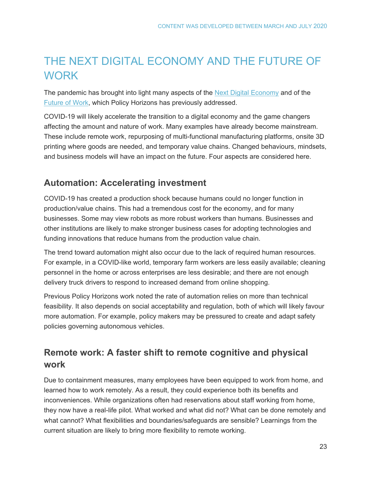## <span id="page-22-0"></span>THE NEXT DIGITAL ECONOMY AND THE FUTURE OF **WORK**

The pandemic has brought into light many aspects of the [Next Digital Economy](https://horizons.gc.ca/en/2019/06/20/the-next-digital-economy/) and of the [Future of Work,](https://horizons.gc.ca/en/2019/06/20/the-future-of-work-five-game-changers/) which Policy Horizons has previously addressed.

COVID-19 will likely accelerate the transition to a digital economy and the game changers affecting the amount and nature of work. Many examples have already become mainstream. These include remote work, repurposing of multi-functional manufacturing platforms, onsite 3D printing where goods are needed, and temporary value chains. Changed behaviours, mindsets, and business models will have an impact on the future. Four aspects are considered here.

## <span id="page-22-1"></span>**Automation: Accelerating investment**

COVID-19 has created a production shock because humans could no longer function in production/value chains. This had a tremendous cost for the economy, and for many businesses. Some may view robots as more robust workers than humans. Businesses and other institutions are likely to make stronger business cases for adopting technologies and funding innovations that reduce humans from the production value chain.

The trend toward automation might also occur due to the lack of required human resources. For example, in a COVID-like world, temporary farm workers are less easily available; cleaning personnel in the home or across enterprises are less desirable; and there are not enough delivery truck drivers to respond to increased demand from online shopping.

Previous Policy Horizons work noted the rate of automation relies on more than technical feasibility. It also depends on social acceptability and regulation, both of which will likely favour more automation. For example, policy makers may be pressured to create and adapt safety policies governing autonomous vehicles.

## <span id="page-22-2"></span>**Remote work: A faster shift to remote cognitive and physical work**

Due to containment measures, many employees have been equipped to work from home, and learned how to work remotely. As a result, they could experience both its benefits and inconveniences. While organizations often had reservations about staff working from home, they now have a real-life pilot. What worked and what did not? What can be done remotely and what cannot? What flexibilities and boundaries/safeguards are sensible? Learnings from the current situation are likely to bring more flexibility to remote working.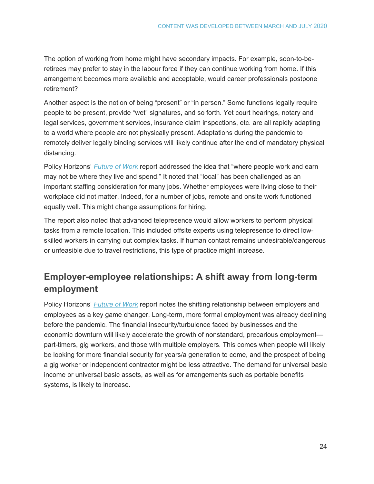The option of working from home might have secondary impacts. For example, soon-to-beretirees may prefer to stay in the labour force if they can continue working from home. If this arrangement becomes more available and acceptable, would career professionals postpone retirement?

Another aspect is the notion of being "present" or "in person." Some functions legally require people to be present, provide "wet" signatures, and so forth. Yet court hearings, notary and legal services, government services, insurance claim inspections, etc. are all rapidly adapting to a world where people are not physically present. Adaptations during the pandemic to remotely deliver legally binding services will likely continue after the end of mandatory physical distancing.

Policy Horizons' *[Future of Work](https://horizons.gc.ca/en/2019/06/20/the-future-of-work-five-game-changers/)* report addressed the idea that "where people work and earn may not be where they live and spend." It noted that "local" has been challenged as an important staffing consideration for many jobs. Whether employees were living close to their workplace did not matter. Indeed, for a number of jobs, remote and onsite work functioned equally well. This might change assumptions for hiring.

The report also noted that advanced telepresence would allow workers to perform physical tasks from a remote location. This included offsite experts using telepresence to direct lowskilled workers in carrying out complex tasks. If human contact remains undesirable/dangerous or unfeasible due to travel restrictions, this type of practice might increase.

## <span id="page-23-0"></span>**Employer-employee relationships: A shift away from long-term employment**

Policy Horizons' *[Future of Work](https://horizons.gc.ca/en/2019/06/20/the-future-of-work-five-game-changers/)* report notes the shifting relationship between employers and employees as a key game changer. Long-term, more formal employment was already declining before the pandemic. The financial insecurity/turbulence faced by businesses and the economic downturn will likely accelerate the growth of nonstandard, precarious employment part-timers, gig workers, and those with multiple employers. This comes when people will likely be looking for more financial security for years/a generation to come, and the prospect of being a gig worker or independent contractor might be less attractive. The demand for universal basic income or universal basic assets, as well as for arrangements such as portable benefits systems, is likely to increase.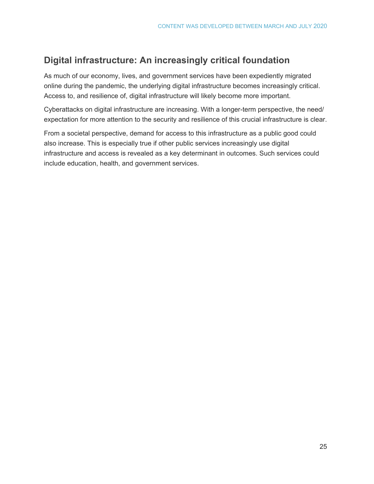## <span id="page-24-0"></span>**Digital infrastructure: An increasingly critical foundation**

As much of our economy, lives, and government services have been expediently migrated online during the pandemic, the underlying digital infrastructure becomes increasingly critical. Access to, and resilience of, digital infrastructure will likely become more important.

Cyberattacks on digital infrastructure are increasing. With a longer-term perspective, the need/ expectation for more attention to the security and resilience of this crucial infrastructure is clear.

From a societal perspective, demand for access to this infrastructure as a public good could also increase. This is especially true if other public services increasingly use digital infrastructure and access is revealed as a key determinant in outcomes. Such services could include education, health, and government services.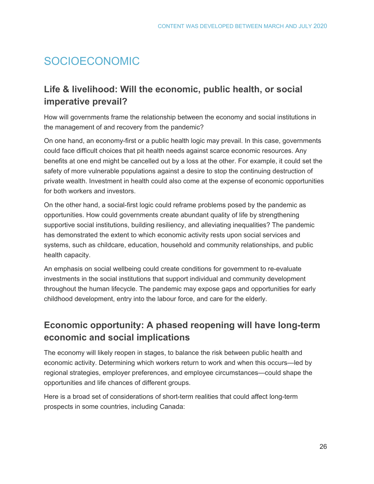## <span id="page-25-0"></span>SOCIOECONOMIC

## <span id="page-25-1"></span>**Life & livelihood: Will the economic, public health, or social imperative prevail?**

How will governments frame the relationship between the economy and social institutions in the management of and recovery from the pandemic?

On one hand, an economy-first or a public health logic may prevail. In this case, governments could face difficult choices that pit health needs against scarce economic resources. Any benefits at one end might be cancelled out by a loss at the other. For example, it could set the safety of more vulnerable populations against a desire to stop the continuing destruction of private wealth. Investment in health could also come at the expense of economic opportunities for both workers and investors.

On the other hand, a social-first logic could reframe problems posed by the pandemic as opportunities. How could governments create abundant quality of life by strengthening supportive social institutions, building resiliency, and alleviating inequalities? The pandemic has demonstrated the extent to which economic activity rests upon social services and systems, such as childcare, education, household and community relationships, and public health capacity.

An emphasis on social wellbeing could create conditions for government to re-evaluate investments in the social institutions that support individual and community development throughout the human lifecycle. The pandemic may expose gaps and opportunities for early childhood development, entry into the labour force, and care for the elderly.

## <span id="page-25-2"></span>**Economic opportunity: A phased reopening will have long-term economic and social implications**

The economy will likely reopen in stages, to balance the risk between public health and economic activity. Determining which workers return to work and when this occurs—led by regional strategies, employer preferences, and employee circumstances—could shape the opportunities and life chances of different groups.

Here is a broad set of considerations of short-term realities that could affect long-term prospects in some countries, including Canada: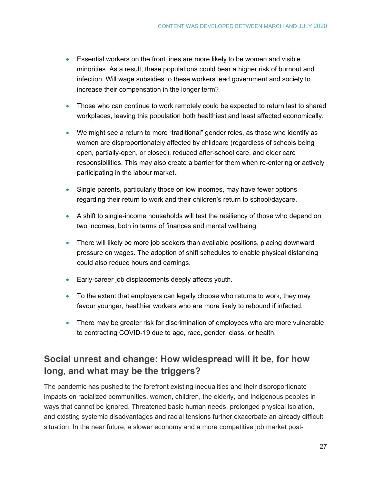- Essential workers on the front lines are more likely to be women and visible minorities. As a result, these populations could bear a higher risk of burnout and infection. Will wage subsidies to these workers lead government and society to increase their compensation in the longer term?
- Those who can continue to work remotely could be expected to return last to shared workplaces, leaving this population both healthiest and least affected economically.
- We might see a return to more "traditional" gender roles, as those who identify as women are disproportionately affected by childcare (regardless of schools being open, partially-open, or closed), reduced after-school care, and elder care responsibilities. This may also create a barrier for them when re-entering or actively participating in the labour market.
- Single parents, particularly those on low incomes, may have fewer options regarding their return to work and their children's return to school/daycare.
- A shift to single-income households will test the resiliency of those who depend on two incomes, both in terms of finances and mental wellbeing.
- There will likely be more job seekers than available positions, placing downward pressure on wages. The adoption of shift schedules to enable physical distancing could also reduce hours and earnings.
- Early-career job displacements deeply affects [youth.](https://www.theglobeandmail.com/business/economy/article-canada-loses-record-1-million-jobs-as-coronavirus-fallout-slams/)
- To the extent that employers can legally choose who returns to work, they may favour younger, healthier workers who are more likely to rebound if infected.
- There may be greater risk for discrimination of employees who are more vulnerable to contracting COVID-19 due to age, race, gender, class, or health.

## <span id="page-26-0"></span>**Social unrest and change: How widespread will it be, for how long, and what may be the triggers?**

The pandemic has pushed to the forefront existing inequalities and their disproportionate impacts on [racialized communities,](https://globalnews.ca/news/6799322/coronavirus-black-americans/) [women,](https://www.politico.com/news/magazine/2020/04/24/covid-crisis-women-205856) [children,](https://www.nationalobserver.com/2020/04/24/features/pandemic-forced-home-schooling-widens-digital-divide) [the elderly,](https://www.cbc.ca/news/politics/long-term-care-homes-covid19-1.5556041) and [Indigenous peoples in](https://aptnnews.ca/2020/04/30/first-nations-doctors-canadas-troublesome-pandemic-response/) ways that cannot be ignored. Threatened basic human needs, prolonged physical isolation, and existing systemic disadvantages and racial tensions further exacerbate an already difficult situation. In the near future, a slower economy and a more competitive job market post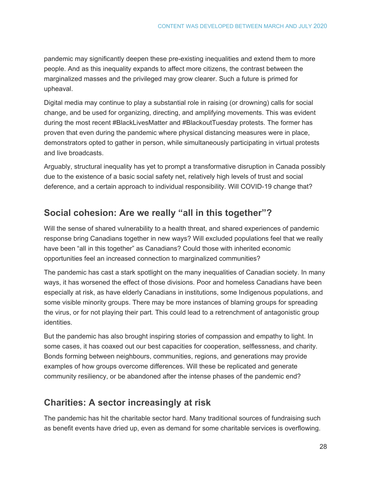pandemic may significantly deepen these pre-existing inequalities and extend them to more people. And as this inequality expands to affect more citizens, the contrast between the marginalized masses and the privileged may grow clearer. Such a future is primed for upheaval.

Digital media may continue to play a substantial role in raising (or drowning) calls for social change, and be used for organizing, directing, and amplifying movements. This was evident during the most recent #BlackLivesMatter and #BlackoutTuesday protests. The former has proven that even during the pandemic where physical distancing measures were in place, demonstrators opted to gather in person, while simultaneously participating in virtual protests and live broadcasts.

Arguably, structural inequality has yet to prompt a transformative disruption in Canada possibly due to the existence of a basic social safety net, relatively high levels of trust and social deference, and a certain approach to individual responsibility. Will COVID-19 change that?

## <span id="page-27-0"></span>**Social cohesion: Are we really "all in this together"?**

Will the sense of shared vulnerability to a health threat, and shared experiences of pandemic response bring Canadians together in new ways? Will excluded populations feel that we really have been "all in this together" as Canadians? Could those with inherited economic opportunities feel an increased connection to marginalized communities?

The pandemic has cast a stark spotlight on the many inequalities of Canadian society. In many ways, it has worsened the effect of those divisions. Poor and homeless Canadians have been especially at risk, as have elderly Canadians in institutions, some Indigenous populations, and some visible minority groups. There may be more instances of blaming groups for spreading the virus, or for not playing their part. This could lead to a retrenchment of antagonistic group identities.

But the pandemic has also brought inspiring stories of compassion and empathy to light. In some cases, it has coaxed out our best capacities for cooperation, selflessness, and charity. Bonds forming between neighbours, communities, regions, and generations may provide examples of how groups overcome differences. Will these be replicated and generate community resiliency, or be abandoned after the intense phases of the pandemic end?

## <span id="page-27-1"></span>**Charities: A sector increasingly at risk**

The pandemic has hit the charitable sector hard. Many traditional sources of fundraising such as benefit events have dried up, even as demand for some charitable services is overflowing.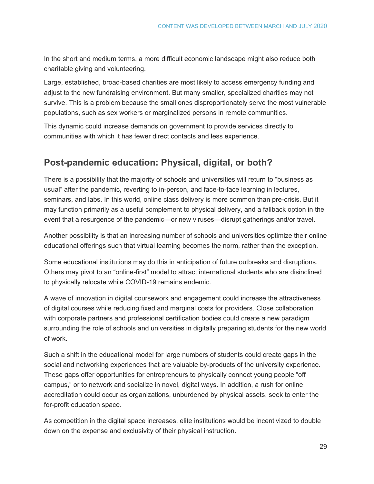In the short and medium terms, a more difficult economic landscape might also reduce both charitable giving and volunteering.

Large, established, broad-based charities are most likely to access emergency funding and adjust to the new fundraising environment. But many smaller, specialized charities may not survive. This is a problem because the small ones disproportionately serve the most vulnerable populations, such as sex workers or marginalized persons in remote communities.

This dynamic could increase demands on government to provide services directly to communities with which it has fewer direct contacts and less experience.

## <span id="page-28-0"></span>**Post-pandemic education: Physical, digital, or both?**

There is a possibility that the majority of schools and universities will return to "business as usual" after the pandemic, reverting to in-person, and face-to-face learning in lectures, seminars, and labs. In this world, online class delivery is more common than pre-crisis. But it may function primarily as a useful complement to physical delivery, and a fallback option in the event that a resurgence of the pandemic—or new viruses—disrupt gatherings and/or travel.

Another possibility is that an increasing number of schools and universities optimize their online educational offerings such that virtual learning becomes the norm, rather than the exception.

Some educational institutions may do this in anticipation of future outbreaks and disruptions. Others may pivot to an "online-first" model to attract international students who are disinclined to physically relocate while COVID-19 remains endemic.

A wave of innovation in digital coursework and engagement could increase the attractiveness of digital courses while reducing fixed and marginal costs for providers. Close collaboration with corporate partners and professional certification bodies could create a new paradigm surrounding the role of schools and universities in digitally preparing students for the new world of work.

Such a shift in the educational model for large numbers of students could create gaps in the social and networking experiences that are valuable by-products of the university experience. These gaps offer opportunities for entrepreneurs to physically connect young people "off campus," or to network and socialize in novel, digital ways. In addition, a rush for online accreditation could occur as organizations, unburdened by physical assets, seek to enter the for-profit education space.

As competition in the digital space increases, elite institutions would be incentivized to double down on the expense and exclusivity of their physical instruction.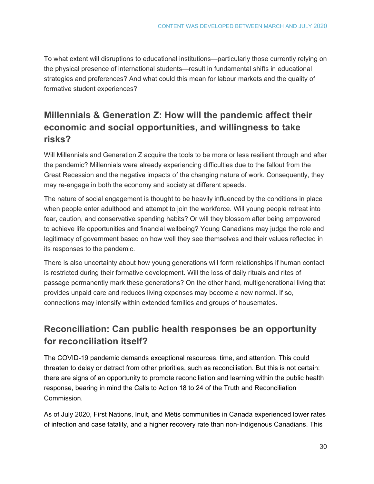To what extent will disruptions to educational institutions—particularly those currently relying on the physical presence of international students—result in fundamental shifts in educational strategies and preferences? And what could this mean for labour markets and the quality of formative student experiences?

## <span id="page-29-0"></span>**Millennials & Generation Z: How will the pandemic affect their economic and social opportunities, and willingness to take risks?**

Will Millennials and Generation Z acquire the tools to be more or less resilient through and after the pandemic? Millennials were already experiencing difficulties due to the fallout from the Great Recession and the negative impacts of the changing nature of work. Consequently, they may re-engage in both the economy and society at different speeds.

The nature of social engagement is thought to be heavily influenced by the conditions in place when people enter adulthood and attempt to join the workforce. Will young people retreat into fear, caution, and conservative spending habits? Or will they blossom after being empowered to achieve life opportunities and financial wellbeing? Young Canadians may judge the role and legitimacy of government based on how well they see themselves and their values reflected in its responses to the pandemic.

There is also uncertainty about how young generations will form relationships if human contact is restricted during their formative development. Will the loss of daily rituals and rites of passage permanently mark these generations? On the other hand, multigenerational living that provides unpaid care and reduces living expenses may become a new normal. If so, connections may intensify within extended families and groups of housemates.

## <span id="page-29-1"></span>**Reconciliation: Can public health responses be an opportunity for reconciliation itself?**

The COVID-19 pandemic demands exceptional resources, time, and attention. This could threaten to delay or detract from other priorities, such as reconciliation. But this is not certain: there are signs of an opportunity to promote reconciliation and learning within the public health response, bearing in mind the Calls to Action 18 to 24 of the Truth and Reconciliation Commission.

As of July 2020, First Nations, Inuit, and Métis communities in Canada experienced lower rates of infection and case fatality, and a higher recovery rate than non-Indigenous Canadians. This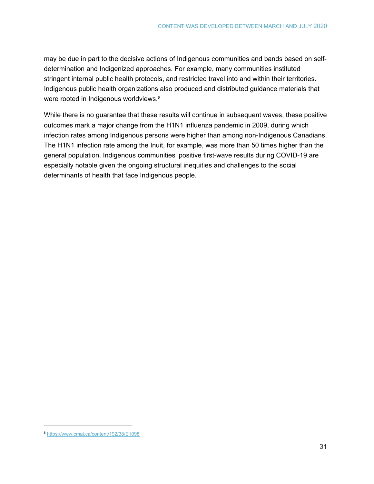may be due in part to the decisive actions of Indigenous communities and bands based on selfdetermination and Indigenized approaches. For example, many communities instituted stringent internal public health protocols, and restricted travel into and within their territories. Indigenous public health organizations also produced and distributed guidance materials that were rooted in Indigenous worldviews.<sup>[8](#page-30-0)</sup>

While there is no guarantee that these results will continue in subsequent waves, these positive outcomes mark a major change from the H1N1 influenza pandemic in 2009, during which infection rates among Indigenous persons were higher than among non-Indigenous Canadians. The H1N1 infection rate among the Inuit, for example, was more than 50 times higher than the general population. Indigenous communities' positive first-wave results during COVID-19 are especially notable given the ongoing structural inequities and challenges to the social determinants of health that face Indigenous people.

<span id="page-30-0"></span> <sup>8</sup> <https://www.cmaj.ca/content/192/38/E1098>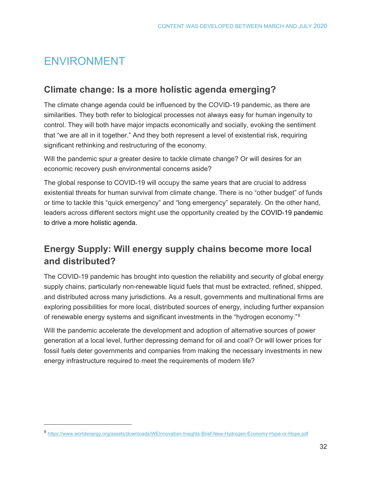## <span id="page-31-0"></span>ENVIRONMENT

 $\overline{a}$ 

#### <span id="page-31-1"></span>**Climate change: Is a more holistic agenda emerging?**

The climate change agenda could be influenced by the COVID-19 pandemic, as there are similarities. They both refer to biological processes not always easy for human ingenuity to control. They will both have major impacts economically and socially, evoking the sentiment that "we are all in it together." And they both represent a level of existential risk, requiring significant rethinking and restructuring of the economy.

Will the pandemic spur a greater desire to tackle climate change? Or will desires for an economic recovery push environmental concerns aside?

The global response to COVID-19 will occupy the same years that are crucial to address existential threats for human survival from climate change. There is no "other budget" of funds or time to tackle this "quick emergency" and "long emergency" separately. On the other hand, leaders across different sectors might use the opportunity created by the COVID-19 pandemic to drive a more holistic agenda.

## <span id="page-31-2"></span>**Energy Supply: Will energy supply chains become more local and distributed?**

The COVID-19 pandemic has brought into question the reliability and security of global energy supply chains, particularly non-renewable liquid fuels that must be extracted, refined, shipped, and distributed across many jurisdictions. As a result, governments and multinational firms are exploring possibilities for more local, distributed sources of energy, including further expansion of renewable energy systems and significant investments in the "hydrogen economy."[9](#page-31-3)

Will the pandemic accelerate the development and adoption of alternative sources of power generation at a local level, further depressing demand for oil and coal? Or will lower prices for fossil fuels deter governments and companies from making the necessary investments in new energy infrastructure required to meet the requirements of modern life?

<span id="page-31-3"></span><sup>9</sup> <https://www.worldenergy.org/assets/downloads/WEInnovation-Insights-Brief-New-Hydrogen-Economy-Hype-or-Hope.pdf>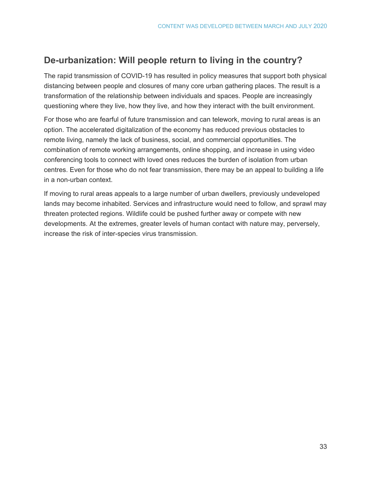## <span id="page-32-0"></span>**De-urbanization: Will people return to living in the country?**

The rapid transmission of COVID-19 has resulted in policy measures that support both physical distancing between people and closures of many core urban gathering places. The result is a transformation of the relationship between individuals and spaces. People are increasingly questioning where they live, how they live, and how they interact with the built environment.

For those who are fearful of future transmission and can telework, moving to rural areas is an option. The accelerated digitalization of the economy has reduced previous obstacles to remote living, namely the lack of business, social, and commercial opportunities. The combination of remote working arrangements, online shopping, and increase in using video conferencing tools to connect with loved ones reduces the burden of isolation from urban centres. Even for those who do not fear transmission, there may be an appeal to building a life in a non-urban context.

If moving to rural areas appeals to a large number of urban dwellers, previously undeveloped lands may become inhabited. Services and infrastructure would need to follow, and sprawl may threaten protected regions. Wildlife could be pushed further away or compete with new developments. At the extremes, greater levels of human contact with nature may, perversely, increase the risk of inter-species virus transmission.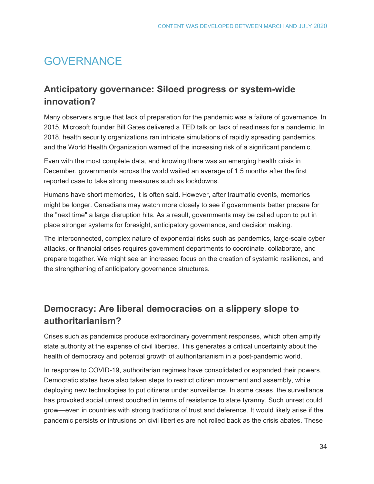## <span id="page-33-0"></span>**GOVERNANCE**

#### <span id="page-33-1"></span>**Anticipatory governance: Siloed progress or system-wide innovation?**

Many observers argue that lack of preparation for the pandemic was a failure of governance. In 2015, Microsoft founder Bill Gates delivered a TED talk on lack of readiness for a pandemic. In 2018, health security organizations ran intricate simulations of rapidly spreading pandemics, and the World Health Organization warned of the increasing risk of a significant pandemic.

Even with the most complete data, and knowing there was an emerging health crisis in December, governments across the world waited an average of 1.5 months after the first reported case to take strong measures such as lockdowns.

Humans have short memories, it is often said. However, after traumatic events, memories might be longer. Canadians may watch more closely to see if governments better prepare for the "next time" a large disruption hits. As a result, governments may be called upon to put in place stronger systems for foresight, anticipatory governance, and decision making.

The interconnected, complex nature of exponential risks such as pandemics, large-scale cyber attacks, or financial crises requires government departments to coordinate, collaborate, and prepare together. We might see an increased focus on the creation of systemic resilience, and the strengthening of anticipatory governance structures.

## <span id="page-33-2"></span>**Democracy: Are liberal democracies on a slippery slope to authoritarianism?**

Crises such as pandemics produce extraordinary government responses, which often amplify state authority at the expense of civil liberties. This generates a critical uncertainty about the health of democracy and potential growth of authoritarianism in a post-pandemic world.

In response to COVID-19, [authoritarian](https://www.cnbc.com/2020/03/31/coronavirus-in-hungary-viktor-orban-rules-by-decree-indefinitely.html) [regimes](https://www.nytimes.com/2020/04/18/world/asia/hong-kong-arrests.html) have consolidated or expanded their powers. Democratic states have also taken steps to restrict citizen movement and assembly, while [deploying](https://www.cnbc.com/2020/03/25/coronavirus-singapore-to-make-contact-tracing-tech-open-source.html) [new](https://www.bbc.com/news/av/world-europe-51900325/coronavirus-please-stay-at-home) [technologies](https://www.japantimes.co.jp/news/2020/03/29/world/coronavirus-pandemic-privacy-rights/) to put [citizens](https://www.bbc.com/news/world-asia-52104798) under surveillance. In some cases, the surveillance has provoked social unrest couched in terms of resistance to state tyranny. Such unrest could grow—even in countries with strong traditions of trust and deference. It would likely arise if the pandemic persists or intrusions on civil liberties are not rolled back as the crisis abates. These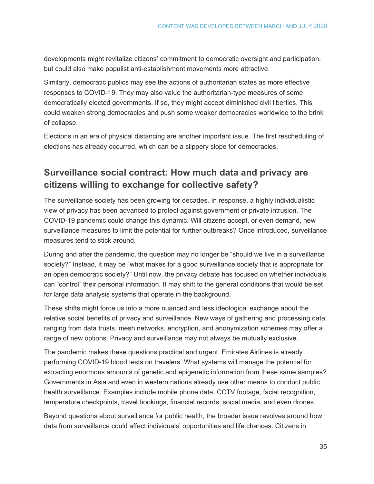developments might revitalize citizens' commitment to democratic oversight and participation, but could also make [populist anti-establishment movements](https://www.theguardian.com/commentisfree/2020/apr/18/beware-a-new-wave-of-populism-born-out-of-coronavirus-induced-economic-inequity) more attractive.

Similarly, democratic publics may see the actions of authoritarian states as more effective responses to COVID-19. They may also value the authoritarian-type measures of some democratically elected governments. If so, they might accept diminished civil liberties. This could weaken strong democracies and push some weaker democracies worldwide to the brink of collapse.

Elections in an era of physical distancing are another important issue. The first rescheduling of elections has already occurred, which can be a slippery slope for democracies.

## <span id="page-34-0"></span>**Surveillance social contract: How much data and privacy are citizens willing to exchange for collective safety?**

The surveillance society has been growing for decades. In response, a highly individualistic view of privacy has been advanced to protect against government or private intrusion. The COVID-19 pandemic could change this dynamic. Will citizens accept, or even demand, new surveillance measures to limit the potential for further outbreaks? Once introduced, surveillance measures tend to stick around.

During and after the pandemic, the question may no longer be "should we live in a surveillance society?" Instead, it may be "what makes for a good surveillance society that is appropriate for an open democratic society?" Until now, the privacy debate has focused on whether individuals can "control" their personal information. It may shift to the general conditions that would be set for large data analysis systems that operate in the background.

These shifts might force us into a more nuanced and less ideological exchange about the relative social benefits of privacy and surveillance. New ways of gathering and processing data, ranging from data trusts, mesh networks, encryption, and anonymization schemes may offer a range of new options. Privacy and surveillance may not always be mutually exclusive.

The pandemic makes these questions practical and urgent. Emirates Airlines is already performing [COVID-19 blood tests](https://www.cnn.com/travel/article/emirates-passengers-blood-test-covid-19/index.html) on travelers. What systems will manage the potential for extracting enormous amounts of genetic and epigenetic information from these same samples? Governments in Asia and even in western nations already use other means to conduct public health surveillance. Examples include mobile phone data, CCTV footage, facial recognition, temperature checkpoints, travel bookings, financial records, social media, and even drones.

Beyond questions about surveillance for public health, the broader issue revolves around how data from surveillance could affect individuals' opportunities and life chances. Citizens in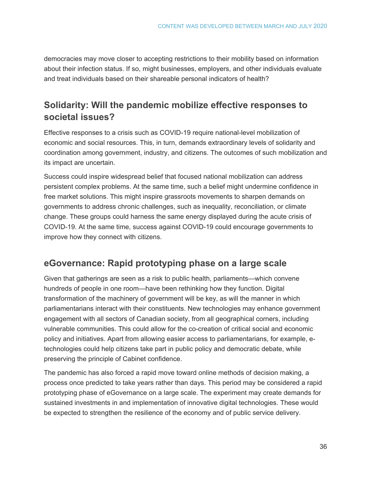democracies may move closer to accepting restrictions to their mobility based on information about their infection status. If so, might businesses, employers, and other individuals evaluate and treat individuals based on their shareable personal indicators of health?

## <span id="page-35-0"></span>**Solidarity: Will the pandemic mobilize effective responses to societal issues?**

Effective responses to a crisis such as COVID-19 require national-level mobilization of [economic](https://warontherocks.com/2020/04/wartime-lessons-for-industrial-mobilization-in-a-time-of-pandemic/) and [social](https://www.washingtonpost.com/outlook/2020/03/25/real-lesson-world-war-ii-mobilizing-against-covid-19/) resources. This, in turn, demands extraordinary levels of solidarity and coordination among [government, industry, and citizens.](https://www.washingtonpost.com/outlook/2020/03/25/real-lesson-world-war-ii-mobilizing-against-covid-19/) The outcomes of such mobilization and its impact are uncertain.

Success could inspire widespread belief that focused national mobilization can address persistent complex problems. At the same time, such a belief might undermine confidence in free market solutions. This might inspire grassroots movements to sharpen demands on governments to address chronic challenges, such as [inequality,](https://nymag.com/intelligencer/2020/04/coronavirus-inequality-america.html) [reconciliation,](https://aptnnews.ca/2020/04/30/first-nations-doctors-canadas-troublesome-pandemic-response/) or [climate](https://fortune.com/2020/03/12/coronavirus-climate-change-response/)  [change.](https://fortune.com/2020/03/12/coronavirus-climate-change-response/) These groups could harness the same energy displayed during the acute crisis of COVID-19. At the same time, success against COVID-19 could encourage governments to improve how they connect with citizens.

## <span id="page-35-1"></span>**eGovernance: Rapid prototyping phase on a large scale**

Given that gatherings are seen as a risk to public health, parliaments—which convene hundreds of people in one room—have been rethinking how they function. Digital transformation of the machinery of government will be key, as will the manner in which parliamentarians interact with their constituents. New technologies may enhance government engagement with all sectors of Canadian society, from all geographical corners, including vulnerable communities. This could allow for the co-creation of critical social and economic policy and initiatives. Apart from allowing easier access to parliamentarians, for example, etechnologies could help citizens take part in public policy and democratic debate, while preserving the principle of Cabinet confidence.

The pandemic has also forced a rapid move toward online methods of decision making, a process once predicted to take years rather than days. This period may be considered a rapid prototyping phase of eGovernance on a large scale. The experiment may create demands for sustained investments in and implementation of innovative digital technologies. These would be expected to strengthen the resilience of the economy and of public service delivery.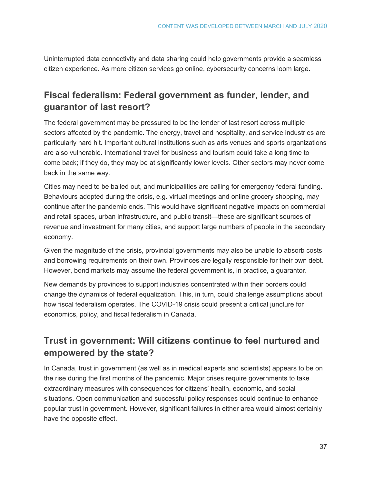Uninterrupted data connectivity and data sharing could help governments provide a seamless citizen experience. As more citizen services go online, cybersecurity concerns loom large.

## **Fiscal federalism: Federal government as funder, lender, and guarantor of last resort?**

The federal government may be pressured to be the lender of last resort across multiple sectors affected by the pandemic. The energy, travel and hospitality, and service industries are particularly hard hit. Important cultural institutions such as arts venues and sports organizations are also vulnerable. International travel for business and tourism could take a long time to come back; if they do, they may be at significantly lower levels. Other sectors may never come back in the same way.

Cities may need to be bailed out, and municipalities are calling for emergency federal funding. Behaviours adopted during the crisis, e.g. virtual meetings and online grocery shopping, may continue after the pandemic ends. This would have significant negative impacts on commercial and retail spaces, urban infrastructure, and public transit—these are significant sources of revenue and investment for many cities, and support large numbers of people in the secondary economy.

Given the magnitude of the crisis, provincial governments may also be unable to absorb costs and borrowing requirements on their own. Provinces are legally responsible for their own debt. However, bond markets may assume the federal government is, in practice, a guarantor.

New demands by provinces to support industries concentrated within their borders could change the dynamics of federal equalization. This, in turn, could challenge assumptions about how fiscal federalism operates. The COVID-19 crisis could present a critical juncture for economics, policy, and fiscal federalism in Canada.

## **Trust in government: Will citizens continue to feel nurtured and empowered by the state?**

In Canada, trust in government (as well as in medical experts and scientists) appears to be on the rise during the first months of the pandemic. Major crises require governments to take extraordinary measures with consequences for citizens' health, economic, and social situations. Open communication and successful policy responses could continue to enhance popular trust in government. However, significant failures in either area would almost certainly have the opposite effect.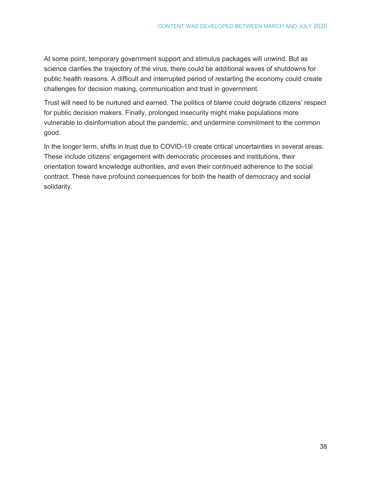At some point, temporary government support and stimulus packages will unwind. But as science clarifies the trajectory of the virus, there could be additional waves of shutdowns for public health reasons. A difficult and interrupted period of restarting the economy could create challenges for decision making, communication and trust in government.

Trust will need to be nurtured and earned. The politics of blame could degrade citizens' respect for public decision makers. Finally, prolonged insecurity might make populations more vulnerable to [disinformation](https://theconversation.com/qanon-conspiracy-theories-about-the-coronavirus-pandemic-are-a-public-health-threat-135515?utm_medium=email&utm_campaign=Latest%20from%20The%20Conversation%20for%20April%209%202020&utm_content=Latest%20from%20The%20Conversation%20for%20April%209%202020+CID_26becbb2f642bb0821578da3cce023db&utm_source=campaign_monitor_ca&utm_term=QAnon%20the%20online%20community%20that%20believes%20Donald%20Trump%20has%20long%20been%20a%20victim%20of%20the%20deep%20state%20Its%20now%20spreading%20deeply%20harmful%20misinformation%20about%20COVID-19) about the pandemic, and undermine commitment to the [common](https://www.nationalreview.com/2020/04/coronavirus-pandemic-common-good-debate/)  [good.](https://www.nationalreview.com/2020/04/coronavirus-pandemic-common-good-debate/)

In the longer term, shifts in trust due to COVID-19 create critical uncertainties in several areas. These include citizens' engagement with democratic processes and institutions, their orientation toward knowledge authorities, and even their continued [adherence to the social](https://www.hilltimes.com/2020/04/06/242019/242019)  [contract.](https://www.hilltimes.com/2020/04/06/242019/242019) These have profound consequences for both the health of democracy and social solidarity.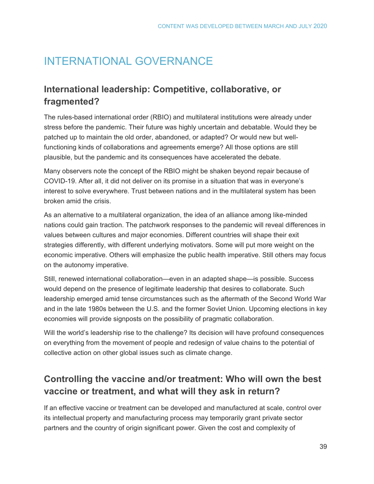## INTERNATIONAL GOVERNANCE

## **International leadership: Competitive, collaborative, or fragmented?**

The rules-based international order (RBIO) and multilateral institutions were already under stress before the pandemic. Their future was highly uncertain and debatable. Would they be patched up to maintain the old order, abandoned, or adapted? Or would new but wellfunctioning kinds of collaborations and agreements emerge? All those options are still plausible, but the pandemic and its consequences have accelerated the debate.

Many observers note the concept of the RBIO might be shaken beyond repair because of COVID-19. After all, it did not deliver on its promise in a situation that was in everyone's interest to solve everywhere. Trust between nations and in the multilateral system has been broken amid the crisis.

As an alternative to a multilateral organization, the idea of an alliance among like-minded nations could gain traction. The patchwork responses to the pandemic will reveal differences in values between cultures and major economies. Different countries will shape their exit strategies differently, with different underlying motivators. Some will put more weight on the economic imperative. Others will emphasize the public health imperative. Still others may focus on the autonomy imperative.

Still, renewed international collaboration—even in an adapted shape—is possible. Success would depend on the presence of legitimate leadership that desires to collaborate. Such leadership emerged amid tense circumstances such as the aftermath of the Second World War and in the late 1980s between the U.S. and the former Soviet Union. Upcoming elections in key economies will provide signposts on the possibility of pragmatic collaboration.

Will the world's leadership rise to the challenge? Its decision will have profound consequences on everything from the movement of people and redesign of value chains to the potential of collective action on other global issues such as climate change.

## **Controlling the vaccine and/or treatment: Who will own the best vaccine or treatment, and what will they ask in return?**

If an effective vaccine or treatment can be developed and manufactured at scale, control over its intellectual property and manufacturing process may temporarily grant private sector partners and the country of origin significant power. Given the cost and complexity of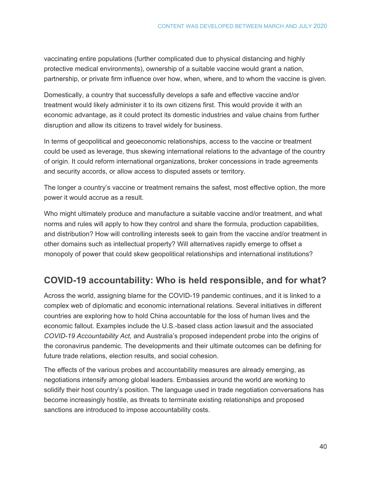vaccinating entire populations (further complicated due to physical distancing and highly protective medical environments), ownership of a suitable vaccine would grant a nation, partnership, or private firm influence over how, when, where, and to whom the vaccine is given.

Domestically, a country that successfully develops a safe and effective vaccine and/or treatment would likely administer it to its own citizens first. This would provide it with an economic advantage, as it could protect its domestic industries and value chains from further disruption and allow its citizens to travel widely for business.

In terms of geopolitical and geoeconomic relationships, access to the vaccine or treatment could be used as leverage, thus skewing international relations to the advantage of the country of origin. It could reform international organizations, broker concessions in trade agreements and security accords, or allow access to disputed assets or territory.

The longer a country's vaccine or treatment remains the safest, most effective option, the more power it would accrue as a result.

Who might ultimately produce and manufacture a suitable vaccine and/or treatment, and what norms and rules will apply to how they control and share the formula, production capabilities, and distribution? How will controlling interests seek to gain from the vaccine and/or treatment in other domains such as intellectual property? Will alternatives rapidly emerge to offset a monopoly of power that could skew geopolitical relationships and international institutions?

## **COVID-19 accountability: Who is held responsible, and for what?**

Across the world, assigning blame for the COVID-19 pandemic continues, and it is linked to a complex web of diplomatic and economic international relations. Several initiatives in different countries are exploring how to hold China accountable for the loss of human lives and the economic fallout. Examples include the U.S.-based class action lawsuit and the associated *COVID-19 Accountability Act,* and Australia's proposed independent probe into the origins of the coronavirus pandemic. The developments and their ultimate outcomes can be defining for future trade relations, election results, and social cohesion.

The effects of the various probes and accountability measures are already emerging, as negotiations intensify among global leaders. Embassies around the world are working to solidify their host country's position. The language used in trade negotiation conversations has become increasingly hostile, as threats to terminate existing relationships and proposed sanctions are introduced to impose accountability costs.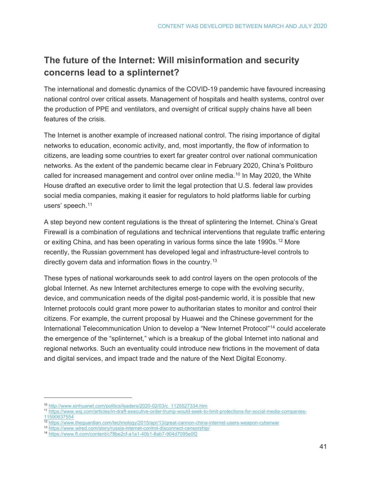## **The future of the Internet: Will misinformation and security concerns lead to a splinternet?**

The international and domestic dynamics of the COVID-19 pandemic have favoured increasing national control over critical assets. Management of hospitals and health systems, control over the production of PPE and ventilators, and oversight of critical supply chains have all been features of the crisis.

The Internet is another example of increased national control. The rising importance of digital networks to education, economic activity, and, most importantly, the flow of information to citizens, are leading some countries to exert far greater control over national communication networks. As the extent of the pandemic became clear in February 2020, China's Politburo called for increased management and control over online media.[10](#page-40-0) In May 2020, the White House drafted an executive order to limit the legal protection that U.S. federal law provides social media companies, making it easier for regulators to hold platforms liable for curbing users' speech.<sup>[11](#page-40-1)</sup>

A step beyond new content regulations is the threat of splintering the Internet. China's Great Firewall is a combination of regulations and technical interventions that regulate traffic entering or exiting China, and has been operating in various forms since the late 1990s.<sup>[12](#page-40-2)</sup> More recently, the Russian government has developed legal and infrastructure-level controls to directly govern data and information flows in the country.<sup>[13](#page-40-3)</sup>

These types of national workarounds seek to add control layers on the open protocols of the global Internet. As new Internet architectures emerge to cope with the evolving security, device, and communication needs of the digital post-pandemic world, it is possible that new Internet protocols could grant more power to authoritarian states to monitor and control their citizens. For example, the current proposal by Huawei and the Chinese government for the International Telecommunication Union to develop a "New Internet Protocol"[14](#page-40-4) could accelerate the emergence of the "splinternet," which is a breakup of the global Internet into national and regional networks. Such an eventuality could introduce new frictions in the movement of data and digital services, and impact trade and the nature of the Next Digital Economy.

<span id="page-40-0"></span> <sup>10</sup> [http://www.xinhuanet.com/politics/leaders/2020-02/03/c\\_1125527334.htm](http://www.xinhuanet.com/politics/leaders/2020-02/03/c_1125527334.htm)

<span id="page-40-1"></span><sup>11</sup> [https://www.wsj.com/articles/in-draft-executive-order-trump-would-seek-to-limit-protections-for-social-media-companies-](https://www.wsj.com/articles/in-draft-executive-order-trump-would-seek-to-limit-protections-for-social-media-companies-11590637554)[11590637554](https://www.wsj.com/articles/in-draft-executive-order-trump-would-seek-to-limit-protections-for-social-media-companies-11590637554)

<span id="page-40-2"></span><sup>12</sup> <https://www.theguardian.com/technology/2015/apr/13/great-cannon-china-internet-users-weapon-cyberwar>

<span id="page-40-3"></span><sup>13</sup> <https://www.wired.com/story/russia-internet-control-disconnect-censorship/>

<span id="page-40-4"></span><sup>14</sup> <https://www.ft.com/content/c78be2cf-a1a1-40b1-8ab7-904d7095e0f2>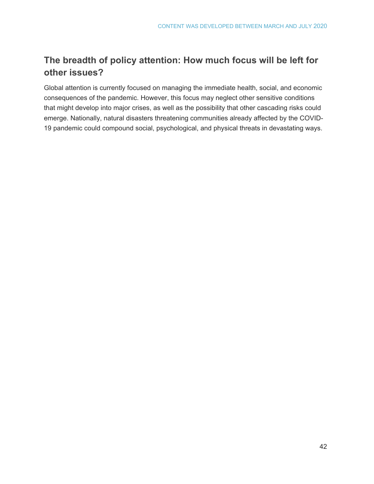## **The breadth of policy attention: How much focus will be left for other issues?**

Global attention is currently focused on managing the immediate health, social, and economic consequences of the pandemic. However, this focus may neglect other sensitive conditions that might develop into major crises, as well as the possibility that other cascading risks could emerge. Nationally, natural disasters threatening communities already affected by the COVID-19 pandemic could compound social, psychological, and physical threats in devastating ways.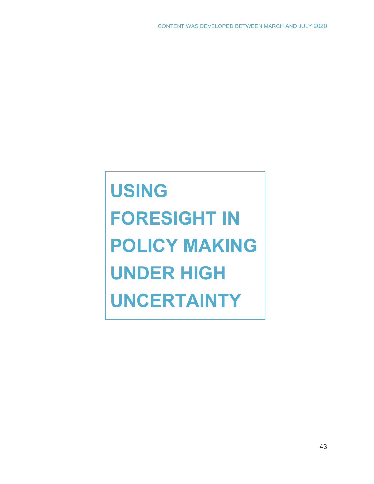**USING FORESIGHT IN POLICY MAKING UNDER HIGH UNCERTAINTY**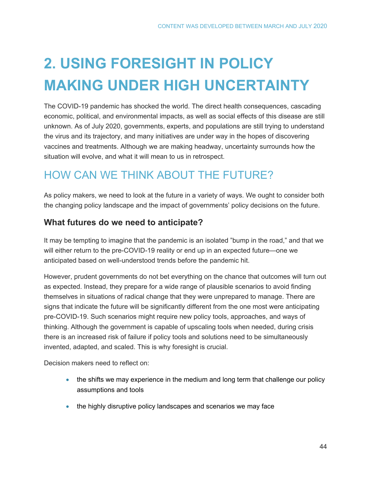# **2. USING FORESIGHT IN POLICY MAKING UNDER HIGH UNCERTAINTY**

The COVID-19 pandemic has shocked the world. The direct health consequences, cascading economic, political, and environmental impacts, as well as social effects of this disease are still unknown. As of July 2020, governments, experts, and populations are still trying to understand the virus and its trajectory, and many initiatives are under way in the hopes of discovering vaccines and treatments. Although we are making headway, uncertainty surrounds how the situation will evolve, and what it will mean to us in retrospect.

## HOW CAN WE THINK ABOUT THE FUTURE?

As policy makers, we need to look at the future in a variety of ways. We ought to consider both the changing policy landscape and the impact of governments' policy decisions on the future.

### **What futures do we need to anticipate?**

It may be tempting to imagine that the pandemic is an isolated "bump in the road," and that we will either return to the pre-COVID-19 reality or end up in an expected future—one we anticipated based on well-understood trends before the pandemic hit.

However, prudent governments do not bet everything on the chance that outcomes will turn out as expected. Instead, they prepare for a wide range of plausible scenarios to avoid finding themselves in situations of radical change that they were unprepared to manage. There are signs that indicate the future will be significantly different from the one most were anticipating pre-COVID-19. Such scenarios might require new policy tools, approaches, and ways of thinking. Although the government is capable of upscaling tools when needed, during crisis there is an increased risk of failure if policy tools and solutions need to be simultaneously invented, adapted, and scaled. This is why foresight is crucial.

Decision makers need to reflect on:

- the shifts we may experience in the medium and long term that challenge our policy assumptions and tools
- the highly disruptive policy landscapes and scenarios we may face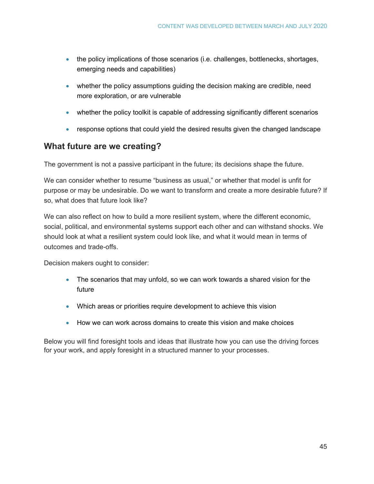- the policy implications of those scenarios (i.e. challenges, bottlenecks, shortages, emerging needs and capabilities)
- whether the policy assumptions guiding the decision making are credible, need more exploration, or are vulnerable
- whether the policy toolkit is capable of addressing significantly different scenarios
- response options that could yield the desired results given the changed landscape

### **What future are we creating?**

The government is not a passive participant in the future; its decisions shape the future.

We can consider whether to resume "business as usual," or whether that model is unfit for purpose or may be undesirable. Do we want to transform and create a more desirable future? If so, what does that future look like?

We can also reflect on how to build a more resilient system, where the different economic, social, political, and environmental systems support each other and can withstand shocks. We should look at what a resilient system could look like, and what it would mean in terms of outcomes and trade-offs.

Decision makers ought to consider:

- The scenarios that may unfold, so we can work towards a shared vision for the future
- Which areas or priorities require development to achieve this vision
- How we can work across domains to create this vision and make choices

Below you will find foresight tools and ideas that illustrate how you can use the driving forces for your work, and apply foresight in a structured manner to your processes.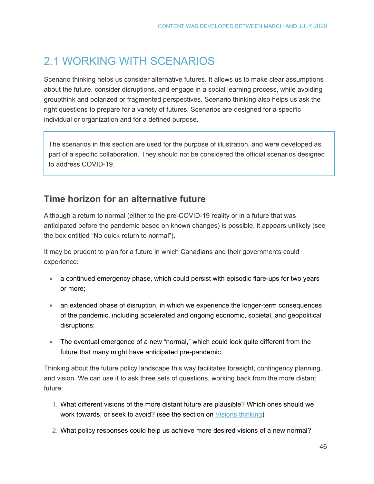## 2.1 WORKING WITH SCENARIOS

Scenario thinking helps us consider alternative futures. It allows us to make clear assumptions about the future, consider disruptions, and engage in a social learning process, while avoiding groupthink and polarized or fragmented perspectives. Scenario thinking also helps us ask the right questions to prepare for a variety of futures. Scenarios are designed for a specific individual or organization and for a defined purpose.

The scenarios in this section are used for the purpose of illustration, and were developed as part of a specific collaboration. They should not be considered the official scenarios designed to address COVID-19.

## **Time horizon for an alternative future**

Although a return to normal (either to the pre-COVID-19 reality or in a future that was anticipated before the pandemic based on known changes) is possible, it appears unlikely (see the box entitled "No quick return to normal").

It may be prudent to plan for a future in which Canadians and their governments could experience:

- a continued emergency phase, which could persist with episodic flare-ups for two years or more;
- an extended phase of disruption, in which we experience the longer-term consequences of the pandemic, including accelerated and ongoing economic, societal, and geopolitical disruptions;
- The eventual emergence of a new "normal," which could look quite different from the future that many might have anticipated pre-pandemic.

Thinking about the future policy landscape this way facilitates foresight, contingency planning, and vision. We can use it to ask three sets of questions, working back from the more distant future:

- 1. What different visions of the more distant future are plausible? Which ones should we work towards, or seek to avoid? (see the section on [Visions thinking\)](#page-61-0)
- 2. What policy responses could help us achieve more desired visions of a new normal?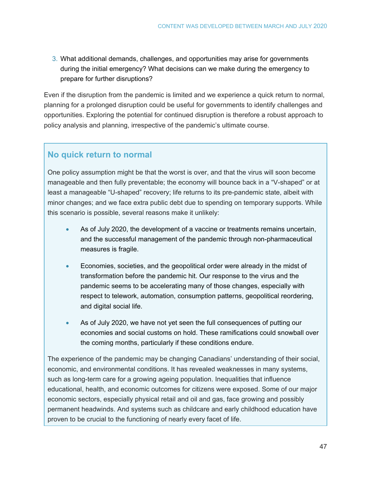3. What additional demands, challenges, and opportunities may arise for governments during the initial emergency? What decisions can we make during the emergency to prepare for further disruptions?

Even if the disruption from the pandemic is limited and we experience a quick return to normal, planning for a prolonged disruption could be useful for governments to identify challenges and opportunities. Exploring the potential for continued disruption is therefore a robust approach to policy analysis and planning, irrespective of the pandemic's ultimate course.

## **No quick return to normal**

One policy assumption might be that the worst is over, and that the virus will soon become manageable and then fully preventable; the economy will bounce back in a "V-shaped" or at least a manageable "U-shaped" recovery; life returns to its pre-pandemic state, albeit with minor changes; and we face extra public debt due to spending on temporary supports. While this scenario is possible, several reasons make it unlikely:

- As of July 2020, the development of a vaccine or treatments remains uncertain, and the successful management of the pandemic through non-pharmaceutical measures is fragile.
- Economies, societies, and the geopolitical order were already in the midst of transformation before the pandemic hit. Our response to the virus and the pandemic seems to be accelerating many of those changes, especially with respect to telework, automation, consumption patterns, geopolitical reordering, and digital social life.
- As of July 2020, we have not yet seen the full consequences of putting our economies and social customs on hold. These ramifications could snowball over the coming months, particularly if these conditions endure.

The experience of the pandemic may be changing Canadians' understanding of their social, economic, and environmental conditions. It has revealed weaknesses in many systems, such as long-term care for a growing ageing population. Inequalities that influence educational, health, and economic outcomes for citizens were exposed. Some of our major economic sectors, especially physical retail and oil and gas, face growing and possibly permanent headwinds. And systems such as childcare and early childhood education have proven to be crucial to the functioning of nearly every facet of life.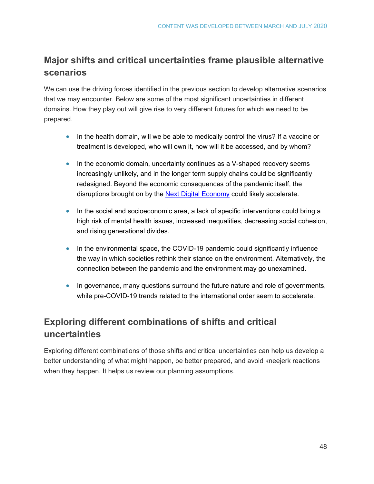## **Major shifts and critical uncertainties frame plausible alternative scenarios**

We can use the driving forces identified in the previous section to develop alternative scenarios that we may encounter. Below are some of the most significant uncertainties in different domains. How they play out will give rise to very different futures for which we need to be prepared.

- In the health domain, will we be able to medically control the virus? If a vaccine or treatment is developed, who will own it, how will it be accessed, and by whom?
- In the economic domain, uncertainty continues as a V-shaped recovery seems increasingly unlikely, and in the longer term supply chains could be significantly redesigned. Beyond the economic consequences of the pandemic itself, the disruptions brought on by the [Next Digital Economy](https://horizons.gc.ca/en/2019/06/20/the-next-digital-economy/) could likely accelerate.
- In the social and socioeconomic area, a lack of specific interventions could bring a high risk of mental health issues, increased inequalities, decreasing social cohesion, and rising generational divides.
- In the environmental space, the COVID-19 pandemic could significantly influence the way in which societies rethink their stance on the environment. Alternatively, the connection between the pandemic and the environment may go unexamined.
- In governance, many questions surround the future nature and role of governments, while pre-COVID-19 trends related to the international order seem to accelerate.

## **Exploring different combinations of shifts and critical uncertainties**

Exploring different combinations of those shifts and critical uncertainties can help us develop a better understanding of what might happen, be better prepared, and avoid kneejerk reactions when they happen. It helps us review our planning assumptions.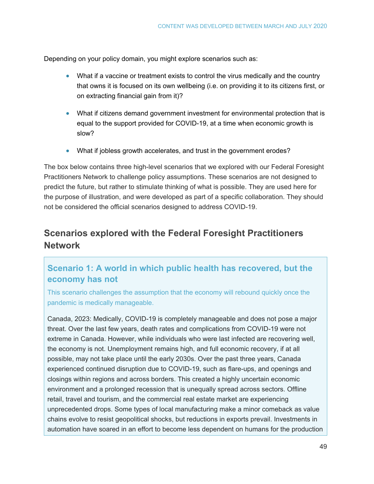Depending on your policy domain, you might explore scenarios such as:

- What if a vaccine or treatment exists to control the virus medically and the country that owns it is focused on its own wellbeing (i.e. on providing it to its citizens first, or on extracting financial gain from it)?
- What if citizens demand government investment for environmental protection that is equal to the support provided for COVID-19, at a time when economic growth is slow?
- What if jobless growth accelerates, and trust in the government erodes?

The box below contains three high-level scenarios that we explored with our Federal Foresight Practitioners Network to challenge policy assumptions. These scenarios are not designed to predict the future, but rather to stimulate thinking of what is possible. They are used here for the purpose of illustration, and were developed as part of a specific collaboration. They should not be considered the official scenarios designed to address COVID-19.

## **Scenarios explored with the Federal Foresight Practitioners Network**

## **Scenario 1: A world in which public health has recovered, but the economy has not**

This scenario challenges the assumption that the economy will rebound quickly once the pandemic is medically manageable.

Canada, 2023: Medically, COVID-19 is completely manageable and does not pose a major threat. Over the last few years, death rates and complications from COVID-19 were not extreme in Canada. However, while individuals who were last infected are recovering well, the economy is not. Unemployment remains high, and full economic recovery, if at all possible, may not take place until the early 2030s. Over the past three years, Canada experienced continued disruption due to COVID-19, such as flare-ups, and openings and closings within regions and across borders. This created a highly uncertain economic environment and a prolonged recession that is unequally spread across sectors. Offline retail, travel and tourism, and the commercial real estate market are experiencing unprecedented drops. Some types of local manufacturing make a minor comeback as value chains evolve to resist geopolitical shocks, but reductions in exports prevail. Investments in automation have soared in an effort to become less dependent on humans for the production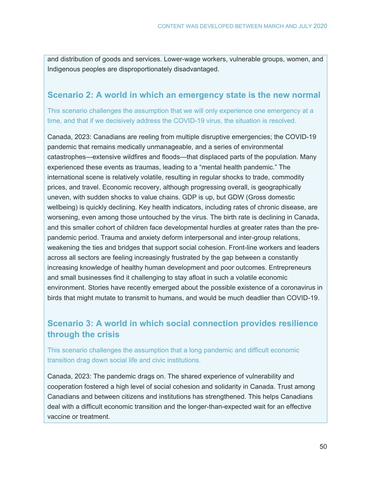and distribution of goods and services. Lower-wage workers, vulnerable groups, women, and Indigenous peoples are disproportionately disadvantaged.

### **Scenario 2: A world in which an emergency state is the new normal**

This scenario challenges the assumption that we will only experience one emergency at a time, and that if we decisively address the COVID-19 virus, the situation is resolved.

Canada, 2023: Canadians are reeling from multiple disruptive emergencies; the COVID-19 pandemic that remains medically unmanageable, and a series of environmental catastrophes—extensive wildfires and floods—that displaced parts of the population. Many experienced these events as traumas, leading to a "mental health pandemic." The international scene is relatively volatile, resulting in regular shocks to trade, commodity prices, and travel. Economic recovery, although progressing overall, is geographically uneven, with sudden shocks to value chains. GDP is up, but GDW (Gross domestic wellbeing) is quickly declining. Key health indicators, including rates of chronic disease, are worsening, even among those untouched by the virus. The birth rate is declining in Canada, and this smaller cohort of children face developmental hurdles at greater rates than the prepandemic period. Trauma and anxiety deform interpersonal and inter-group relations, weakening the ties and bridges that support social cohesion. Front-line workers and leaders across all sectors are feeling increasingly frustrated by the gap between a constantly increasing knowledge of healthy human development and poor outcomes. Entrepreneurs and small businesses find it challenging to stay afloat in such a volatile economic environment. Stories have recently emerged about the possible existence of a coronavirus in birds that might mutate to transmit to humans, and would be much deadlier than COVID-19.

### **Scenario 3: A world in which social connection provides resilience through the crisis**

This scenario challenges the assumption that a long pandemic and difficult economic transition drag down social life and civic institutions.

Canada, 2023: The pandemic drags on. The shared experience of vulnerability and cooperation fostered a high level of social cohesion and solidarity in Canada. Trust among Canadians and between citizens and institutions has strengthened. This helps Canadians deal with a difficult economic transition and the longer-than-expected wait for an effective vaccine or treatment.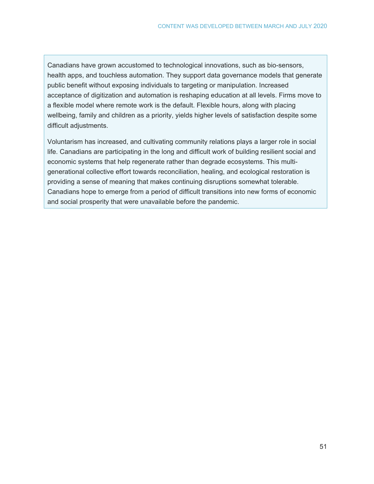Canadians have grown accustomed to technological innovations, such as bio-sensors, health apps, and touchless automation. They support data governance models that generate public benefit without exposing individuals to targeting or manipulation. Increased acceptance of digitization and automation is reshaping education at all levels. Firms move to a flexible model where remote work is the default. Flexible hours, along with placing wellbeing, family and children as a priority, yields higher levels of satisfaction despite some difficult adjustments.

Voluntarism has increased, and cultivating community relations plays a larger role in social life. Canadians are participating in the long and difficult work of building resilient social and economic systems that help regenerate rather than degrade ecosystems. This multigenerational collective effort towards reconciliation, healing, and ecological restoration is providing a sense of meaning that makes continuing disruptions somewhat tolerable. Canadians hope to emerge from a period of difficult transitions into new forms of economic and social prosperity that were unavailable before the pandemic.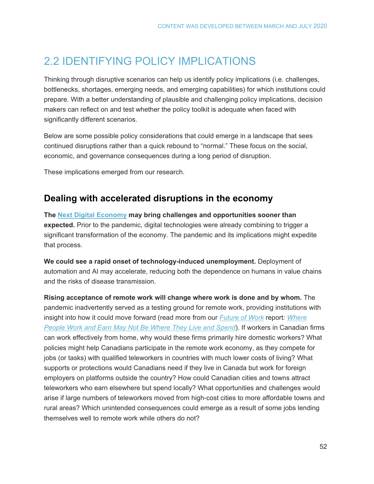## 2.2 IDENTIFYING POLICY IMPLICATIONS

Thinking through disruptive scenarios can help us identify policy implications (i.e. challenges, bottlenecks, shortages, emerging needs, and emerging capabilities) for which institutions could prepare. With a better understanding of plausible and challenging policy implications, decision makers can reflect on and test whether the policy toolkit is adequate when faced with significantly different scenarios.

Below are some possible policy considerations that could emerge in a landscape that sees continued disruptions rather than a quick rebound to "normal." These focus on the social, economic, and governance consequences during a long period of disruption.

These implications emerged from our research.

### **Dealing with accelerated disruptions in the economy**

**The [Next Digital Economy](https://horizons.gc.ca/en/2019/06/20/the-next-digital-economy/) may bring challenges and opportunities sooner than expected.** Prior to the pandemic, digital technologies were already combining to trigger a significant transformation of the economy. The pandemic and its implications might expedite that process.

**We could see a rapid onset of technology-induced unemployment.** Deployment of automation and AI may accelerate, reducing both the dependence on humans in value chains and the risks of disease transmission.

**Rising acceptance of remote work will change where work is done and by whom.** The pandemic inadvertently served as a testing ground for remote work, providing institutions with insight into how it could move forward (read more from our *[Future of Work](https://horizons.gc.ca/en/2019/06/20/the-future-of-work-five-game-changers/)* report*: [Where](https://horizons.gc.ca/en/2019/06/20/the-future-of-work-five-game-changers/#game-changer-5)  [People Work and Earn May Not Be Where They Live and Spend](https://horizons.gc.ca/en/2019/06/20/the-future-of-work-five-game-changers/#game-changer-5)*). If workers in Canadian firms can work effectively from home, why would these firms primarily hire domestic workers? What policies might help Canadians participate in the remote work economy, as they compete for jobs (or tasks) with qualified teleworkers in countries with much lower costs of living? What supports or protections would Canadians need if they live in Canada but work for foreign employers on platforms outside the country? How could Canadian cities and towns attract teleworkers who earn elsewhere but spend locally? What opportunities and challenges would arise if large numbers of teleworkers moved from high-cost cities to more affordable towns and rural areas? Which unintended consequences could emerge as a result of some jobs lending themselves well to remote work while others do not?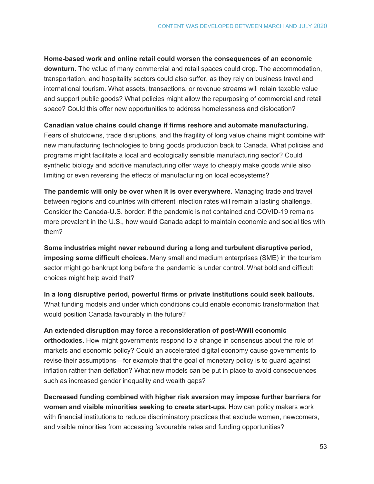**Home-based work and online retail could worsen the consequences of an economic downturn.** The value of many commercial and retail spaces could drop. The accommodation, transportation, and hospitality sectors could also suffer, as they rely on business travel and international tourism. What assets, transactions, or revenue streams will retain taxable value and support public goods? What policies might allow the repurposing of commercial and retail space? Could this offer new opportunities to address homelessness and dislocation?

### **Canadian value chains could change if firms reshore and automate manufacturing.**

Fears of shutdowns, trade disruptions, and the fragility of long value chains might combine with new manufacturing technologies to bring goods production back to Canada. What policies and programs might facilitate a local and ecologically sensible manufacturing sector? Could synthetic biology and additive manufacturing offer ways to cheaply make goods while also limiting or even reversing the effects of manufacturing on local ecosystems?

**The pandemic will only be over when it is over everywhere.** Managing trade and travel between regions and countries with different infection rates will remain a lasting challenge. Consider the Canada-U.S. border: if the pandemic is not contained and COVID-19 remains more prevalent in the U.S., how would Canada adapt to maintain economic and social ties with them?

**Some industries might never rebound during a long and turbulent disruptive period, imposing some difficult choices.** Many small and medium enterprises (SME) in the tourism sector might go bankrupt long before the pandemic is under control. What bold and difficult choices might help avoid that?

**In a long disruptive period, powerful firms or private institutions could seek bailouts.** What funding models and under which conditions could enable economic transformation that would position Canada favourably in the future?

**An extended disruption may force a reconsideration of post-WWII economic orthodoxies.** How might governments respond to a change in consensus about the role of markets and economic policy? Could an accelerated digital economy cause governments to revise their assumptions—for example that the goal of monetary policy is to guard against inflation rather than deflation? What new models can be put in place to avoid consequences such as increased gender inequality and wealth gaps?

**Decreased funding combined with higher risk aversion may impose further barriers for women and visible minorities seeking to create start-ups.** How can policy makers work with financial institutions to reduce discriminatory practices that exclude women, newcomers, and visible minorities from accessing favourable rates and funding opportunities?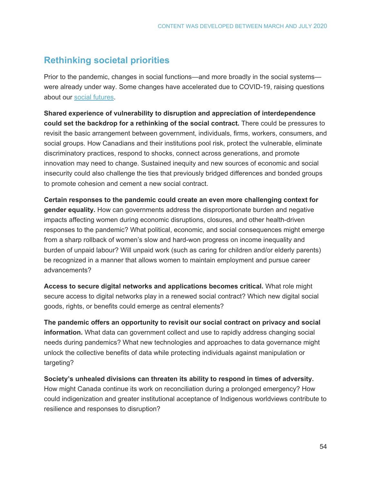## **Rethinking societal priorities**

Prior to the pandemic, changes in social functions—and more broadly in the social systems were already under way. Some changes have accelerated due to COVID-19, raising questions about our [social futures.](https://horizons.gc.ca/en/2020/03/20/exploring-social-futures/)

**Shared experience of vulnerability to disruption and appreciation of interdependence could set the backdrop for a rethinking of the social contract.** There could be pressures to revisit the basic arrangement between government, individuals, firms, workers, consumers, and social groups. How Canadians and their institutions pool risk, protect the vulnerable, eliminate discriminatory practices, respond to shocks, connect across generations, and promote innovation may need to change. Sustained inequity and new sources of economic and social insecurity could also challenge the ties that previously bridged differences and bonded groups to promote cohesion and cement a new social contract.

**Certain responses to the pandemic could create an even more challenging context for gender equality.** How can governments address the disproportionate burden and negative impacts affecting women during economic disruptions, closures, and other health-driven responses to the pandemic? What political, economic, and social consequences might emerge from a sharp rollback of women's slow and hard-won progress on income inequality and burden of unpaid labour? Will unpaid work (such as caring for children and/or elderly parents) be recognized in a manner that allows women to maintain employment and pursue career advancements?

**Access to secure digital networks and applications becomes critical.** What role might secure access to digital networks play in a renewed social contract? Which new digital social goods, rights, or benefits could emerge as central elements?

**The pandemic offers an opportunity to revisit our social contract on privacy and social information.** What data can government collect and use to rapidly address changing social needs during pandemics? What new technologies and approaches to data governance might unlock the collective benefits of data while protecting individuals against manipulation or targeting?

**Society's unhealed divisions can threaten its ability to respond in times of adversity.** How might Canada continue its work on reconciliation during a prolonged emergency? How could indigenization and greater institutional acceptance of Indigenous worldviews contribute to resilience and responses to disruption?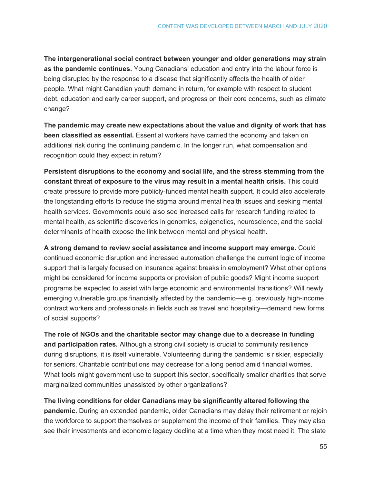**The intergenerational social contract between younger and older generations may strain as the pandemic continues.** Young Canadians' education and entry into the labour force is being disrupted by the response to a disease that significantly affects the health of older people. What might Canadian youth demand in return, for example with respect to student debt, education and early career support, and progress on their core concerns, such as climate change?

**The pandemic may create new expectations about the value and dignity of work that has been classified as essential.** Essential workers have carried the economy and taken on additional risk during the continuing pandemic. In the longer run, what compensation and recognition could they expect in return?

**Persistent disruptions to the economy and social life, and the stress stemming from the constant threat of exposure to the virus may result in a mental health crisis.** This could create pressure to provide more publicly-funded mental health support. It could also accelerate the longstanding efforts to reduce the stigma around mental health issues and seeking mental health services. Governments could also see increased calls for research funding related to mental health, as scientific discoveries in genomics, epigenetics, neuroscience, and the social determinants of health expose the link between mental and physical health.

**A strong demand to review social assistance and income support may emerge.** Could continued economic disruption and increased automation challenge the current logic of income support that is largely focused on insurance against breaks in employment? What other options might be considered for income supports or provision of public goods? Might income support programs be expected to assist with large economic and environmental transitions? Will newly emerging vulnerable groups financially affected by the pandemic—e.g. previously high-income contract workers and professionals in fields such as travel and hospitality—demand new forms of social supports?

**The role of NGOs and the charitable sector may change due to a decrease in funding and participation rates.** Although a strong civil society is crucial to community resilience during disruptions, it is itself vulnerable. Volunteering during the pandemic is riskier, especially for seniors. Charitable contributions may decrease for a long period amid financial worries. What tools might government use to support this sector, specifically smaller charities that serve marginalized communities unassisted by other organizations?

**The living conditions for older Canadians may be significantly altered following the pandemic.** During an extended pandemic, older Canadians may delay their retirement or rejoin the workforce to support themselves or supplement the income of their families. They may also see their investments and economic legacy decline at a time when they most need it. The state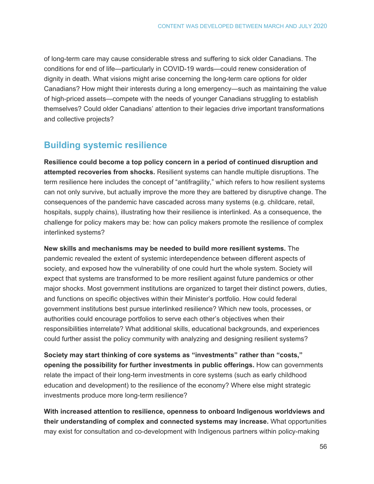of long-term care may cause considerable stress and suffering to sick older Canadians. The conditions for end of life—particularly in COVID-19 wards—could renew consideration of dignity in death. What visions might arise concerning the long-term care options for older Canadians? How might their interests during a long emergency—such as maintaining the value of high-priced assets—compete with the needs of younger Canadians struggling to establish themselves? Could older Canadians' attention to their legacies drive important transformations and collective projects?

## **Building systemic resilience**

**Resilience could become a top policy concern in a period of continued disruption and attempted recoveries from shocks.** Resilient systems can handle multiple disruptions. The term resilience here includes the concept of "antifragility," which refers to how resilient systems can not only survive, but actually improve the more they are battered by disruptive change. The consequences of the pandemic have cascaded across many systems (e.g. childcare, retail, hospitals, supply chains), illustrating how their resilience is interlinked. As a consequence, the challenge for policy makers may be: how can policy makers promote the resilience of complex interlinked systems?

**New skills and mechanisms may be needed to build more resilient systems.** The pandemic revealed the extent of systemic interdependence between different aspects of society, and exposed how the vulnerability of one could hurt the whole system. Society will expect that systems are transformed to be more resilient against future pandemics or other major shocks. Most government institutions are organized to target their distinct powers, duties, and functions on specific objectives within their Minister's portfolio. How could federal government institutions best pursue interlinked resilience? Which new tools, processes, or authorities could encourage portfolios to serve each other's objectives when their responsibilities interrelate? What additional skills, educational backgrounds, and experiences could further assist the policy community with analyzing and designing resilient systems?

**Society may start thinking of core systems as "investments" rather than "costs," opening the possibility for further investments in public offerings.** How can governments relate the impact of their long-term investments in core systems (such as early childhood education and development) to the resilience of the economy? Where else might strategic investments produce more long-term resilience?

**With increased attention to resilience, openness to onboard Indigenous worldviews and their understanding of complex and connected systems may increase.** What opportunities may exist for consultation and co-development with Indigenous partners within policy-making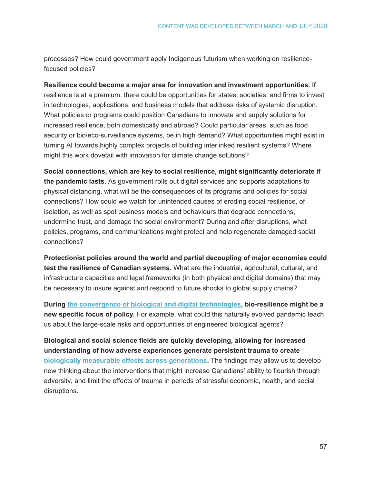processes? How could government apply Indigenous futurism when working on resiliencefocused policies?

**Resilience could become a major area for innovation and investment opportunities.** If resilience is at a premium, there could be opportunities for states, societies, and firms to invest in technologies, applications, and business models that address risks of systemic disruption. What policies or programs could position Canadians to innovate and supply solutions for increased resilience, both domestically and abroad? Could particular areas, such as food security or bio/eco-surveillance systems, be in high demand? What opportunities might exist in turning AI towards highly complex projects of building interlinked resilient systems? Where might this work dovetail with innovation for climate change solutions?

**Social connections, which are key to social resilience, might significantly deteriorate if the pandemic lasts.** As government rolls out digital services and supports adaptations to physical distancing, what will be the consequences of its programs and policies for social connections? How could we watch for unintended causes of eroding social resilience, of isolation, as well as spot business models and behaviours that degrade connections, undermine trust, and damage the social environment? During and after disruptions, what policies, programs, and communications might protect and help regenerate damaged social connections?

**Protectionist policies around the world and partial decoupling of major economies could test the resilience of Canadian systems.** What are the industrial, agricultural, cultural, and infrastructure capacities and legal frameworks (in both physical and digital domains) that may be necessary to insure against and respond to future shocks to global supply chains?

**During [the convergence of biological and digital technologies,](https://horizons.gc.ca/en/2020/02/11/exploring-biodigital-convergence/) bio-resilience might be a new specific focus of policy.** For example, what could this naturally evolved pandemic teach us about the large-scale risks and opportunities of engineered biological agents?

**Biological and social science fields are quickly developing, allowing for increased understanding of how adverse experiences generate persistent trauma to create [biologically measurable effects across generations.](https://horizons.gc.ca/en/2019/11/14/social-epigenetics-how-your-early-life-environment-gets-under-your-skin/)** The findings may allow us to develop new thinking about the interventions that might increase Canadians' ability to flourish through adversity, and limit the effects of trauma in periods of stressful economic, health, and social disruptions.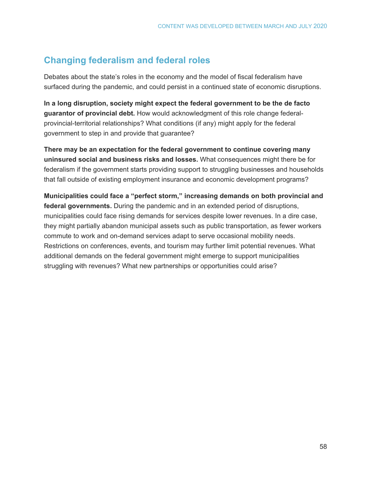## **Changing federalism and federal roles**

Debates about the state's roles in the economy and the model of fiscal federalism have surfaced during the pandemic, and could persist in a continued state of economic disruptions.

**In a long disruption, society might expect the federal government to be the de facto guarantor of provincial debt.** How would acknowledgment of this role change federalprovincial-territorial relationships? What conditions (if any) might apply for the federal government to step in and provide that guarantee?

**There may be an expectation for the federal government to continue covering many uninsured social and business risks and losses.** What consequences might there be for federalism if the government starts providing support to struggling businesses and households that fall outside of existing employment insurance and economic development programs?

**Municipalities could face a "perfect storm," increasing demands on both provincial and federal governments.** During the pandemic and in an extended period of disruptions, municipalities could face rising demands for services despite lower revenues. In a dire case, they might partially abandon municipal assets such as public transportation, as fewer workers commute to work and on-demand services adapt to serve occasional mobility needs. Restrictions on conferences, events, and tourism may further limit potential revenues. What additional demands on the federal government might emerge to support municipalities struggling with revenues? What new partnerships or opportunities could arise?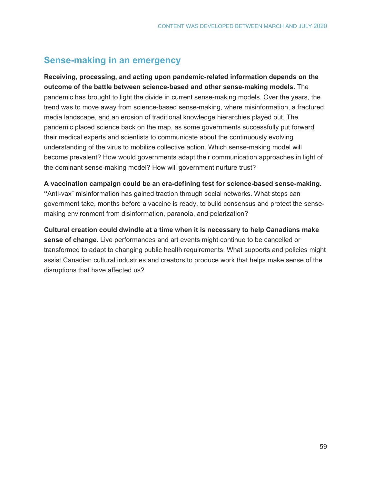## **Sense-making in an emergency**

**Receiving, processing, and acting upon pandemic-related information depends on the outcome of the battle between science-based and other sense-making models.** The pandemic has brought to light the divide in current sense-making models. Over the years, the trend was to move away from science-based sense-making, where misinformation, a fractured media landscape, and an erosion of traditional knowledge hierarchies played out. The pandemic placed science back on the map, as some governments successfully put forward their medical experts and scientists to communicate about the continuously evolving understanding of the virus to mobilize collective action. Which sense-making model will become prevalent? How would governments adapt their communication approaches in light of the dominant sense-making model? How will government nurture trust?

#### **A vaccination campaign could be an era-defining test for science-based sense-making.**

**"**Anti-vax" misinformation has gained traction through social networks. What steps can government take, months before a vaccine is ready, to build consensus and protect the sensemaking environment from disinformation, paranoia, and polarization?

**Cultural creation could dwindle at a time when it is necessary to help Canadians make sense of change.** Live performances and art events might continue to be cancelled or transformed to adapt to changing public health requirements. What supports and policies might assist Canadian cultural industries and creators to produce work that helps make sense of the disruptions that have affected us?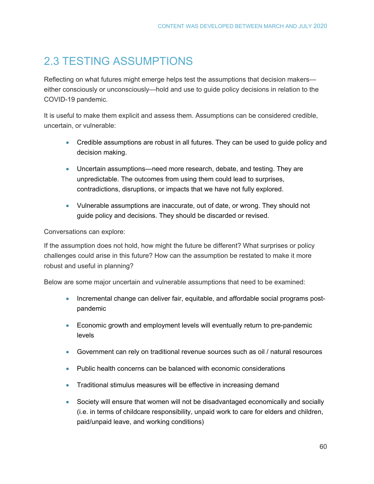## 2.3 TESTING ASSUMPTIONS

Reflecting on what futures might emerge helps test the assumptions that decision makers either consciously or unconsciously—hold and use to guide policy decisions in relation to the COVID-19 pandemic.

It is useful to make them explicit and assess them. Assumptions can be considered credible, uncertain, or vulnerable:

- Credible assumptions are robust in all futures. They can be used to guide policy and decision making.
- Uncertain assumptions—need more research, debate, and testing. They are unpredictable. The outcomes from using them could lead to surprises, contradictions, disruptions, or impacts that we have not fully explored.
- Vulnerable assumptions are inaccurate, out of date, or wrong. They should not guide policy and decisions. They should be discarded or revised.

### Conversations can explore:

If the assumption does not hold, how might the future be different? What surprises or policy challenges could arise in this future? How can the assumption be restated to make it more robust and useful in planning?

Below are some major uncertain and vulnerable assumptions that need to be examined:

- Incremental change can deliver fair, equitable, and affordable social programs postpandemic
- Economic growth and employment levels will eventually return to pre-pandemic levels
- Government can rely on traditional revenue sources such as oil / natural resources
- Public health concerns can be balanced with economic considerations
- Traditional stimulus measures will be effective in increasing demand
- Society will ensure that women will not be disadvantaged economically and socially (i.e. in terms of childcare responsibility, unpaid work to care for elders and children, paid/unpaid leave, and working conditions)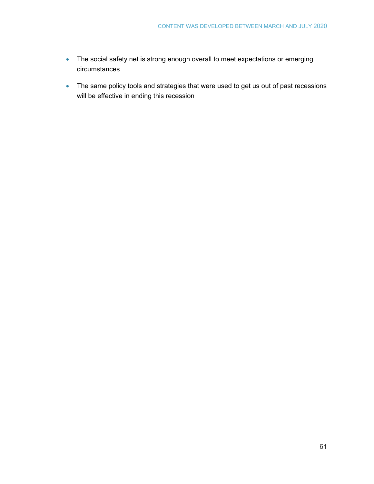- The social safety net is strong enough overall to meet expectations or emerging circumstances
- The same policy tools and strategies that were used to get us out of past recessions will be effective in ending this recession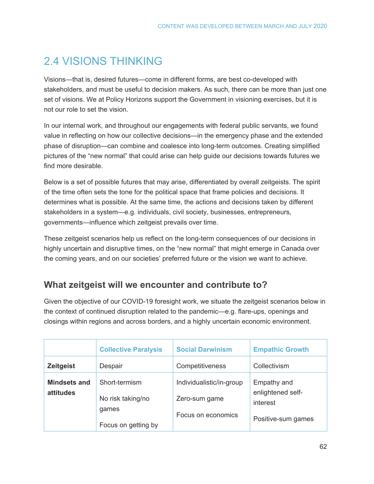## <span id="page-61-0"></span>2.4 VISIONS THINKING

Visions—that is, desired futures—come in different forms, are best co-developed with stakeholders, and must be useful to decision makers. As such, there can be more than just one set of visions. We at Policy Horizons support the Government in visioning exercises, but it is not our role to set the vision.

In our internal work, and throughout our engagements with federal public servants, we found value in reflecting on how our collective decisions—in the emergency phase and the extended phase of disruption—can combine and coalesce into long-term outcomes. Creating simplified pictures of the "new normal" that could arise can help guide our decisions towards futures we find more desirable.

Below is a set of possible futures that may arise, differentiated by overall zeitgeists. The spirit of the time often sets the tone for the political space that frame policies and decisions. It determines what is possible. At the same time, the actions and decisions taken by different stakeholders in a system—e.g. individuals, civil society, businesses, entrepreneurs, governments—influence which zeitgeist prevails over time.

These zeitgeist scenarios help us reflect on the long-term consequences of our decisions in highly uncertain and disruptive times, on the "new normal" that might emerge in Canada over the coming years, and on our societies' preferred future or the vision we want to achieve.

## **What zeitgeist will we encounter and contribute to?**

Given the objective of our COVID-19 foresight work, we situate the zeitgeist scenarios below in the context of continued disruption related to the pandemic—e.g. flare-ups, openings and closings within regions and across borders, and a highly uncertain economic environment.

|                                  | <b>Collective Paralysis</b>                                        | <b>Social Darwinism</b>                                         | <b>Empathic Growth</b>                                             |
|----------------------------------|--------------------------------------------------------------------|-----------------------------------------------------------------|--------------------------------------------------------------------|
| <b>Zeitgeist</b>                 | Despair                                                            | Competitiveness                                                 | Collectivism                                                       |
| <b>Mindsets and</b><br>attitudes | Short-termism<br>No risk taking/no<br>games<br>Focus on getting by | Individualistic/in-group<br>Zero-sum game<br>Focus on economics | Empathy and<br>enlightened self-<br>interest<br>Positive-sum games |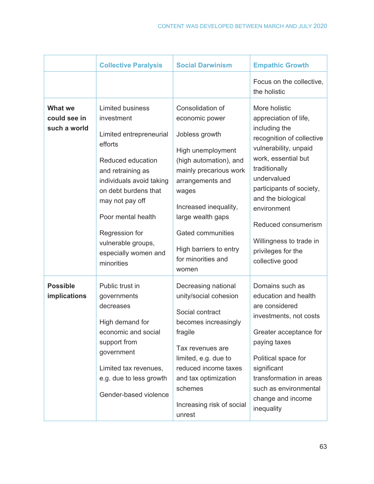|                                                | <b>Collective Paralysis</b>                                                                                                                                                                                                                                                                      | <b>Social Darwinism</b>                                                                                                                                                                                                                                                                       | <b>Empathic Growth</b>                                                                                                                                                                                                                                                                                                           |
|------------------------------------------------|--------------------------------------------------------------------------------------------------------------------------------------------------------------------------------------------------------------------------------------------------------------------------------------------------|-----------------------------------------------------------------------------------------------------------------------------------------------------------------------------------------------------------------------------------------------------------------------------------------------|----------------------------------------------------------------------------------------------------------------------------------------------------------------------------------------------------------------------------------------------------------------------------------------------------------------------------------|
|                                                |                                                                                                                                                                                                                                                                                                  |                                                                                                                                                                                                                                                                                               | Focus on the collective,<br>the holistic                                                                                                                                                                                                                                                                                         |
| <b>What we</b><br>could see in<br>such a world | <b>Limited business</b><br>investment<br>Limited entrepreneurial<br>efforts<br>Reduced education<br>and retraining as<br>individuals avoid taking<br>on debt burdens that<br>may not pay off<br>Poor mental health<br>Regression for<br>vulnerable groups,<br>especially women and<br>minorities | Consolidation of<br>economic power<br>Jobless growth<br>High unemployment<br>(high automation), and<br>mainly precarious work<br>arrangements and<br>wages<br>Increased inequality,<br>large wealth gaps<br><b>Gated communities</b><br>High barriers to entry<br>for minorities and<br>women | More holistic<br>appreciation of life,<br>including the<br>recognition of collective<br>vulnerability, unpaid<br>work, essential but<br>traditionally<br>undervalued<br>participants of society,<br>and the biological<br>environment<br>Reduced consumerism<br>Willingness to trade in<br>privileges for the<br>collective good |
| <b>Possible</b><br><b>implications</b>         | Public trust in<br>governments<br>decreases<br>High demand for<br>economic and social<br>support from<br>government<br>Limited tax revenues,<br>e.g. due to less growth<br>Gender-based violence                                                                                                 | Decreasing national<br>unity/social cohesion<br>Social contract<br>becomes increasingly<br>fragile<br>Tax revenues are<br>limited, e.g. due to<br>reduced income taxes<br>and tax optimization<br>schemes<br>Increasing risk of social<br>unrest                                              | Domains such as<br>education and health<br>are considered<br>investments, not costs<br>Greater acceptance for<br>paying taxes<br>Political space for<br>significant<br>transformation in areas<br>such as environmental<br>change and income<br>inequality                                                                       |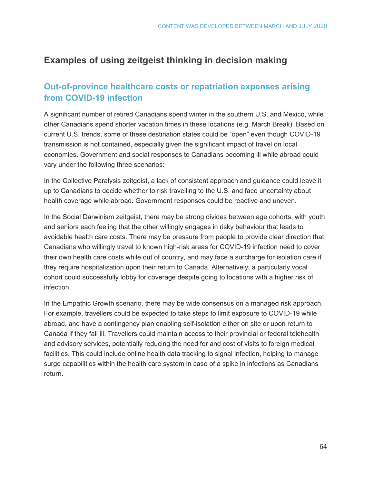## **Examples of using zeitgeist thinking in decision making**

### **Out-of-province healthcare costs or repatriation expenses arising from COVID-19 infection**

A significant number of retired Canadians spend winter in the southern U.S. and Mexico, while other Canadians spend shorter vacation times in these locations (e.g. March Break). Based on current U.S. trends, some of these destination states could be "open" even though COVID-19 transmission is not contained, especially given the significant impact of travel on local economies. Government and social responses to Canadians becoming ill while abroad could vary under the following three scenarios:

In the Collective Paralysis zeitgeist, a lack of consistent approach and guidance could leave it up to Canadians to decide whether to risk travelling to the U.S. and face uncertainty about health coverage while abroad. Government responses could be reactive and uneven.

In the Social Darwinism zeitgeist, there may be strong divides between age cohorts, with youth and seniors each feeling that the other willingly engages in risky behaviour that leads to avoidable health care costs. There may be pressure from people to provide clear direction that Canadians who willingly travel to known high-risk areas for COVID-19 infection need to cover their own health care costs while out of country, and may face a surcharge for isolation care if they require hospitalization upon their return to Canada. Alternatively, a particularly vocal cohort could successfully lobby for coverage despite going to locations with a higher risk of infection.

In the Empathic Growth scenario, there may be wide consensus on a managed risk approach. For example, travellers could be expected to take steps to limit exposure to COVID-19 while abroad, and have a contingency plan enabling self-isolation either on site or upon return to Canada if they fall ill. Travellers could maintain access to their provincial or federal telehealth and advisory services, potentially reducing the need for and cost of visits to foreign medical facilities. This could include online health data tracking to signal infection, helping to manage surge capabilities within the health care system in case of a spike in infections as Canadians return.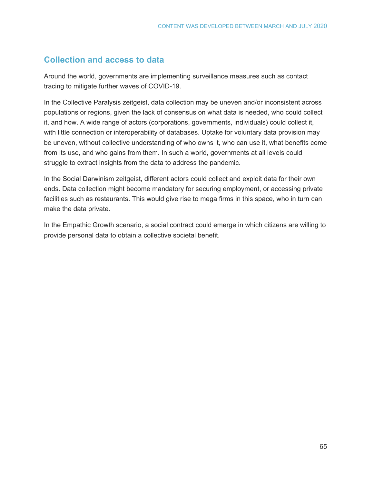## **Collection and access to data**

Around the world, governments are implementing surveillance measures such as contact tracing to mitigate further waves of COVID-19.

In the Collective Paralysis zeitgeist, data collection may be uneven and/or inconsistent across populations or regions, given the lack of consensus on what data is needed, who could collect it, and how. A wide range of actors (corporations, governments, individuals) could collect it, with little connection or interoperability of databases. Uptake for voluntary data provision may be uneven, without collective understanding of who owns it, who can use it, what benefits come from its use, and who gains from them. In such a world, governments at all levels could struggle to extract insights from the data to address the pandemic.

In the Social Darwinism zeitgeist, different actors could collect and exploit data for their own ends. Data collection might become mandatory for securing employment, or accessing private facilities such as restaurants. This would give rise to mega firms in this space, who in turn can make the data private.

In the Empathic Growth scenario, a social contract could emerge in which citizens are willing to provide personal data to obtain a collective societal benefit.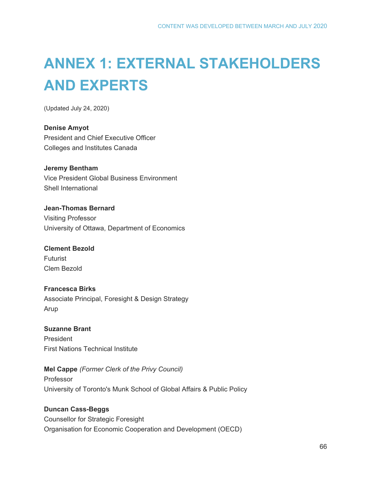# **ANNEX 1: EXTERNAL STAKEHOLDERS AND EXPERTS**

(Updated July 24, 2020)

**Denise Amyot** President and Chief Executive Officer Colleges and Institutes Canada

**Jeremy Bentham** Vice President Global Business Environment Shell International

**Jean-Thomas Bernard** Visiting Professor University of Ottawa, Department of Economics

**Clement Bezold** Futurist Clem Bezold

**Francesca Birks** Associate Principal, Foresight & Design Strategy Arup

**Suzanne Brant** President First Nations Technical Institute

**Mel Cappe** *(Former Clerk of the Privy Council)* Professor University of Toronto's Munk School of Global Affairs & Public Policy

**Duncan Cass-Beggs** Counsellor for Strategic Foresight Organisation for Economic Cooperation and Development (OECD)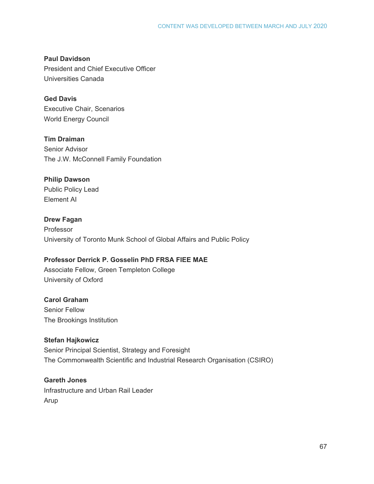**Paul Davidson** President and Chief Executive Officer Universities Canada

**Ged Davis** Executive Chair, Scenarios World Energy Council

**Tim Draiman** Senior Advisor The J.W. McConnell Family Foundation

### **Philip Dawson**

Public Policy Lead Element AI

### **Drew Fagan**

Professor University of Toronto Munk School of Global Affairs and Public Policy

### **Professor Derrick P. Gosselin PhD FRSA FIEE MAE**

Associate Fellow, Green Templeton College University of Oxford

### **Carol Graham**

Senior Fellow The Brookings Institution

### **Stefan Hajkowicz**

Senior Principal Scientist, Strategy and Foresight The Commonwealth Scientific and Industrial Research Organisation (CSIRO)

### **Gareth Jones**

Infrastructure and Urban Rail Leader Arup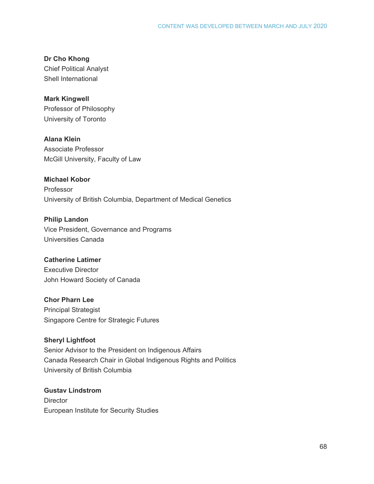**Dr Cho Khong** Chief Political Analyst Shell International

**Mark Kingwell** Professor of Philosophy University of Toronto

**Alana Klein** Associate Professor McGill University, Faculty of Law

**Michael Kobor** Professor University of British Columbia, Department of Medical Genetics

**Philip Landon** Vice President, Governance and Programs Universities Canada

**Catherine Latimer** Executive Director John Howard Society of Canada

**Chor Pharn Lee** Principal Strategist Singapore Centre for Strategic Futures

**Sheryl Lightfoot** Senior Advisor to the President on Indigenous Affairs Canada Research Chair in Global Indigenous Rights and Politics University of British Columbia

**Gustav Lindstrom Director** European Institute for Security Studies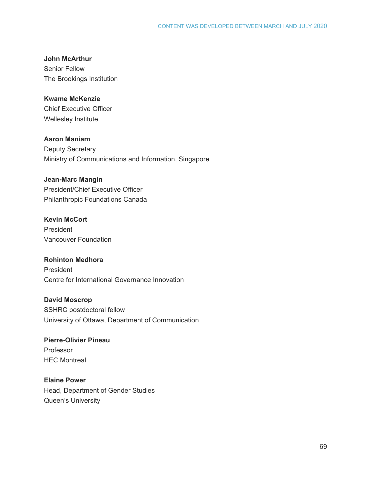#### **John McArthur**

Senior Fellow The Brookings Institution

### **Kwame McKenzie**

Chief Executive Officer Wellesley Institute

**Aaron Maniam**

Deputy Secretary Ministry of Communications and Information, Singapore

#### **Jean-Marc Mangin**

President/Chief Executive Officer Philanthropic Foundations Canada

### **Kevin McCort**

President Vancouver Foundation

#### **Rohinton Medhora** President

Centre for International Governance Innovation

### **David Moscrop**

SSHRC postdoctoral fellow University of Ottawa, Department of Communication

### **Pierre-Olivier Pineau** Professor HEC Montreal

### **Elaine Power** Head, Department of Gender Studies Queen's University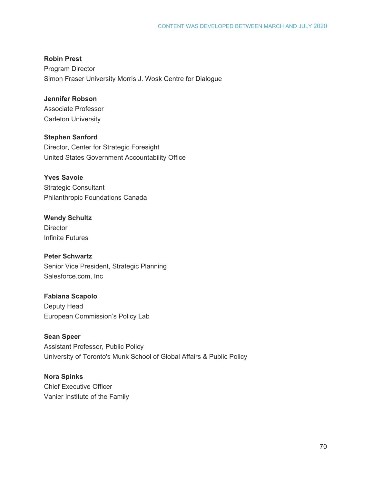### **Robin Prest**

Program Director Simon Fraser University Morris J. Wosk Centre for Dialogue

### **Jennifer Robson**

Associate Professor Carleton University

**Stephen Sanford** Director, Center for Strategic Foresight United States Government Accountability Office

**Yves Savoie** Strategic Consultant Philanthropic Foundations Canada

**Wendy Schultz Director** Infinite Futures

**Peter Schwartz** Senior Vice President, Strategic Planning Salesforce.com, Inc

**Fabiana Scapolo** Deputy Head European Commission's Policy Lab

**Sean Speer** Assistant Professor, Public Policy University of Toronto's Munk School of Global Affairs & Public Policy

**Nora Spinks** Chief Executive Officer Vanier Institute of the Family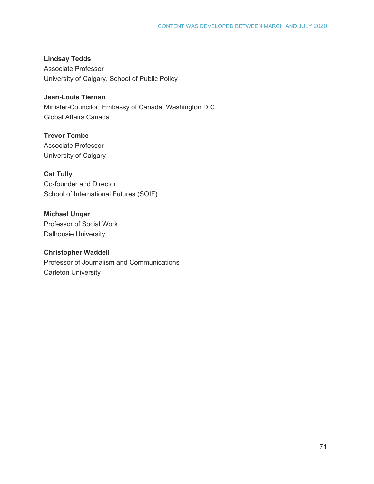**Lindsay Tedds** Associate Professor University of Calgary, School of Public Policy

**Jean-Louis Tiernan** Minister-Councilor, Embassy of Canada, Washington D.C. Global Affairs Canada

**Trevor Tombe** Associate Professor University of Calgary

**Cat Tully** Co-founder and Director School of International Futures (SOIF)

**Michael Ungar** Professor of Social Work Dalhousie University

**Christopher Waddell**  Professor of Journalism and Communications Carleton University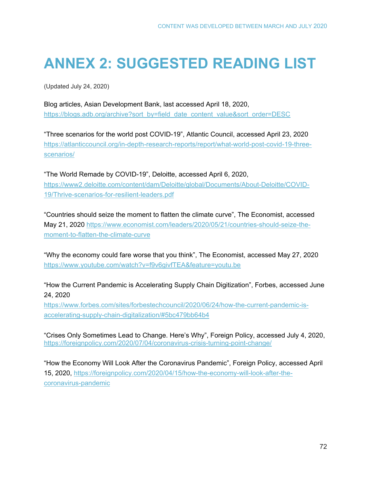# **ANNEX 2: SUGGESTED READING LIST**

(Updated July 24, 2020)

Blog articles, Asian Development Bank, last accessed April 18, 2020, [https://blogs.adb.org/archive?sort\\_by=field\\_date\\_content\\_value&sort\\_order=DESC](https://blogs.adb.org/archive?sort_by=field_date_content_value&sort_order=DESC) 

"Three scenarios for the world post COVID-19", Atlantic Council, accessed April 23, 2020 [https://atlanticcouncil.org/in-depth-research-reports/report/what-world-post-covid-19-three](https://atlanticcouncil.org/in-depth-research-reports/report/what-world-post-covid-19-three-scenarios/)[scenarios/](https://atlanticcouncil.org/in-depth-research-reports/report/what-world-post-covid-19-three-scenarios/) 

"The World Remade by COVID-19", Deloitte, accessed April 6, 2020, [https://www2.deloitte.com/content/dam/Deloitte/global/Documents/About-Deloitte/COVID-](https://www2.deloitte.com/content/dam/Deloitte/global/Documents/About-Deloitte/COVID-19/Thrive-scenarios-for-resilient-leaders.pdf)[19/Thrive-scenarios-for-resilient-leaders.pdf](https://www2.deloitte.com/content/dam/Deloitte/global/Documents/About-Deloitte/COVID-19/Thrive-scenarios-for-resilient-leaders.pdf) 

"Countries should seize the moment to flatten the climate curve", The Economist, accessed May 21, 2020 [https://www.economist.com/leaders/2020/05/21/countries-should-seize-the](https://www.economist.com/leaders/2020/05/21/countries-should-seize-the-moment-to-flatten-the-climate-curve)[moment-to-flatten-the-climate-curve](https://www.economist.com/leaders/2020/05/21/countries-should-seize-the-moment-to-flatten-the-climate-curve)

"Why the economy could fare worse that you think", The Economist, accessed May 27, 2020 <https://www.youtube.com/watch?v=f9v6givfTEA&feature=youtu.be>

"How the Current Pandemic is Accelerating Supply Chain Digitization", Forbes, accessed June 24, 2020

[https://www.forbes.com/sites/forbestechcouncil/2020/06/24/how-the-current-pandemic-is](https://www.forbes.com/sites/forbestechcouncil/2020/06/24/how-the-current-pandemic-is-accelerating-supply-chain-digitalization/#5bc479bb64b4)[accelerating-supply-chain-digitalization/#5bc479bb64b4](https://www.forbes.com/sites/forbestechcouncil/2020/06/24/how-the-current-pandemic-is-accelerating-supply-chain-digitalization/#5bc479bb64b4)

"Crises Only Sometimes Lead to Change. Here's Why", Foreign Policy, accessed July 4, 2020, <https://foreignpolicy.com/2020/07/04/coronavirus-crisis-turning-point-change/>

"How the Economy Will Look After the Coronavirus Pandemic", Foreign Policy, accessed April 15, 2020, [https://foreignpolicy.com/2020/04/15/how-the-economy-will-look-after-the](https://foreignpolicy.com/2020/04/15/how-the-economy-will-look-after-the-coronavirus-pandemic)[coronavirus-pandemic](https://foreignpolicy.com/2020/04/15/how-the-economy-will-look-after-the-coronavirus-pandemic)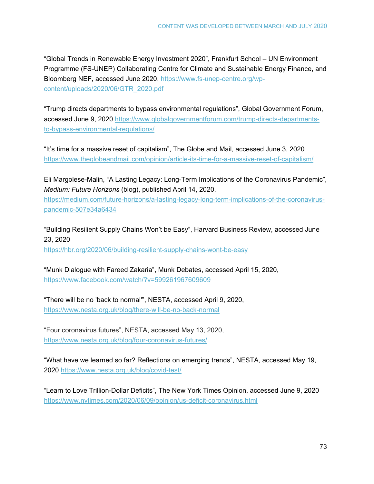"Global Trends in Renewable Energy Investment 2020", Frankfurt School – UN Environment Programme (FS-UNEP) Collaborating Centre for Climate and Sustainable Energy Finance, and Bloomberg NEF, accessed June 2020, [https://www.fs-unep-centre.org/wp](https://www.fs-unep-centre.org/wp-content/uploads/2020/06/GTR_2020.pdf)[content/uploads/2020/06/GTR\\_2020.pdf](https://www.fs-unep-centre.org/wp-content/uploads/2020/06/GTR_2020.pdf)

"Trump directs departments to bypass environmental regulations", Global Government Forum, accessed June 9, 2020 [https://www.globalgovernmentforum.com/trump-directs-departments](https://www.globalgovernmentforum.com/trump-directs-departments-to-bypass-environmental-regulations/)[to-bypass-environmental-regulations/](https://www.globalgovernmentforum.com/trump-directs-departments-to-bypass-environmental-regulations/)

"It's time for a massive reset of capitalism", The Globe and Mail, accessed June 3, 2020 <https://www.theglobeandmail.com/opinion/article-its-time-for-a-massive-reset-of-capitalism/>

Eli Margolese-Malin, "A Lasting Legacy: Long-Term Implications of the Coronavirus Pandemic", *Medium: Future Horizons* (blog), published April 14, 2020.

[https://medium.com/future-horizons/a-lasting-legacy-long-term-implications-of-the-coronavirus](https://medium.com/future-horizons/a-lasting-legacy-long-term-implications-of-the-coronavirus-pandemic-507e34a6434)[pandemic-507e34a6434](https://medium.com/future-horizons/a-lasting-legacy-long-term-implications-of-the-coronavirus-pandemic-507e34a6434)

"Building Resilient Supply Chains Won't be Easy", Harvard Business Review, accessed June 23, 2020 https://hbr.org/2020/06/building-resilient-supply-chains-wont-be-easy

"Munk Dialogue with Fareed Zakaria", Munk Debates, accessed April 15, 2020, <https://www.facebook.com/watch/?v=599261967609609>

"There will be no 'back to normal'", NESTA, accessed April 9, 2020, <https://www.nesta.org.uk/blog/there-will-be-no-back-normal>

"Four coronavirus futures", NESTA, accessed May 13, 2020, <https://www.nesta.org.uk/blog/four-coronavirus-futures/>

"What have we learned so far? Reflections on emerging trends", NESTA, accessed May 19, 2020<https://www.nesta.org.uk/blog/covid-test/>

"Learn to Love Trillion-Dollar Deficits", The New York Times Opinion, accessed June 9, 2020 https://www.nytimes.com/2020/06/09/opinion/us-deficit-coronavirus.html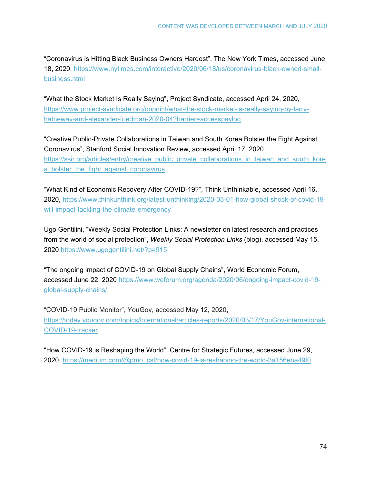"Coronavirus is Hitting Black Business Owners Hardest", The New York Times, accessed June 18, 2020, [https://www.nytimes.com/interactive/2020/06/18/us/coronavirus-black-owned-small](https://www.nytimes.com/interactive/2020/06/18/us/coronavirus-black-owned-small-business.html?action=click&module=Top%20Stories&pgtype=Homepage)[business.html](https://www.nytimes.com/interactive/2020/06/18/us/coronavirus-black-owned-small-business.html?action=click&module=Top%20Stories&pgtype=Homepage)

"What the Stock Market Is Really Saying", Project Syndicate, accessed April 24, 2020, [https://www.project-syndicate.org/onpoint/what-the-stock-market-is-really-saying-by-larry](https://www.project-syndicate.org/onpoint/what-the-stock-market-is-really-saying-by-larry-hatheway-and-alexander-friedman-2020-04?barrier=accesspaylog)[hatheway-and-alexander-friedman-2020-04?barrier=accesspaylog](https://www.project-syndicate.org/onpoint/what-the-stock-market-is-really-saying-by-larry-hatheway-and-alexander-friedman-2020-04?barrier=accesspaylog)

"Creative Public-Private Collaborations in Taiwan and South Korea Bolster the Fight Against Coronavirus", Stanford Social Innovation Review, accessed April 17, 2020, [https://ssir.org/articles/entry/creative\\_public\\_private\\_collaborations\\_in\\_taiwan\\_and\\_south\\_kore](https://ssir.org/articles/entry/creative_public_private_collaborations_in_taiwan_and_south_korea_bolster_the_fight_against_coronavirus) a bolster the fight against coronavirus

"What Kind of Economic Recovery After COVID-19?", Think Unthinkable, accessed April 16, 2020, [https://www.thinkunthink.org/latest-unthinking/2020-05-01-how-global-shock-of-covid-19](https://www.thinkunthink.org/latest-unthinking/2020-05-01-how-global-shock-of-covid-19-will-impact-tackling-the-climate-emergency) [will-impact-tackling-the-climate-emergency](https://www.thinkunthink.org/latest-unthinking/2020-05-01-how-global-shock-of-covid-19-will-impact-tackling-the-climate-emergency)

Ugo Gentilini, "Weekly Social Protection Links: A newsletter on latest research and practices from the world of social protection", *Weekly Social Protection Links* (blog), accessed May 15, 2020<https://www.ugogentilini.net/?p=915>

"The ongoing impact of COVID-19 on Global Supply Chains", World Economic Forum, accessed June 22, 2020 [https://www.weforum.org/agenda/2020/06/ongoing-impact-covid-19](https://www.weforum.org/agenda/2020/06/ongoing-impact-covid-19-global-supply-chains/) [global-supply-chains/](https://www.weforum.org/agenda/2020/06/ongoing-impact-covid-19-global-supply-chains/)

"COVID-19 Public Monitor", YouGov, accessed May 12, 2020, [https://today.yougov.com/topics/international/articles-reports/2020/03/17/YouGov-international-](https://today.yougov.com/topics/international/articles-reports/2020/03/17/YouGov-international-COVID-19-tracker)[COVID-19-tracker](https://today.yougov.com/topics/international/articles-reports/2020/03/17/YouGov-international-COVID-19-tracker)

"How COVID-19 is Reshaping the World", Centre for Strategic Futures, accessed June 29, 2020, [https://medium.com/@pmo\\_csf/how-covid-19-is-reshaping-the-world-3a156eba49f0](https://medium.com/@pmo_csf/how-covid-19-is-reshaping-the-world-3a156eba49f0)